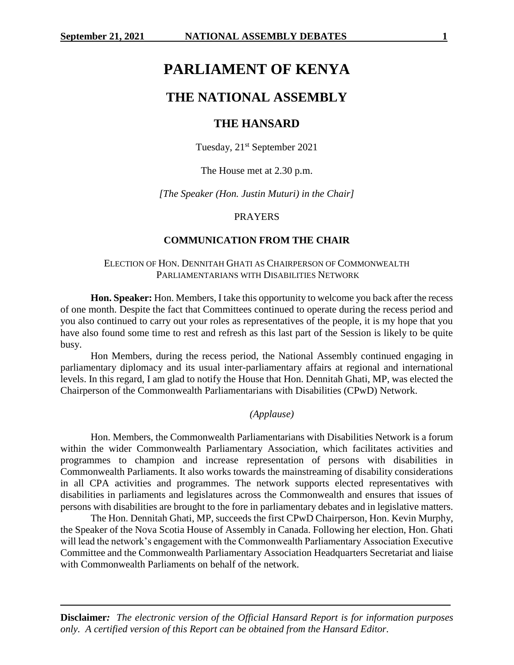# **PARLIAMENT OF KENYA**

# **THE NATIONAL ASSEMBLY**

# **THE HANSARD**

Tuesday, 21<sup>st</sup> September 2021

The House met at 2.30 p.m.

*[The Speaker (Hon. Justin Muturi) in the Chair]*

# PRAYERS

# **COMMUNICATION FROM THE CHAIR**

# ELECTION OF HON. DENNITAH GHATI AS CHAIRPERSON OF COMMONWEALTH PARLIAMENTARIANS WITH DISABILITIES NETWORK

**Hon. Speaker:** Hon. Members, I take this opportunity to welcome you back after the recess of one month. Despite the fact that Committees continued to operate during the recess period and you also continued to carry out your roles as representatives of the people, it is my hope that you have also found some time to rest and refresh as this last part of the Session is likely to be quite busy.

Hon Members, during the recess period, the National Assembly continued engaging in parliamentary diplomacy and its usual inter-parliamentary affairs at regional and international levels. In this regard, I am glad to notify the House that Hon. Dennitah Ghati, MP, was elected the Chairperson of the Commonwealth Parliamentarians with Disabilities (CPwD) Network.

# *(Applause)*

Hon. Members, the Commonwealth Parliamentarians with Disabilities Network is a forum within the wider Commonwealth Parliamentary Association, which facilitates activities and programmes to champion and increase representation of persons with disabilities in Commonwealth Parliaments. It also works towards the mainstreaming of disability considerations in all CPA activities and programmes. The network supports elected representatives with disabilities in parliaments and legislatures across the Commonwealth and ensures that issues of persons with disabilities are brought to the fore in parliamentary debates and in legislative matters.

The Hon. Dennitah Ghati, MP, succeeds the first CPwD Chairperson, Hon. Kevin Murphy, the Speaker of the Nova Scotia House of Assembly in Canada. Following her election, Hon. Ghati will lead the network's engagement with the Commonwealth Parliamentary Association Executive Committee and the Commonwealth Parliamentary Association Headquarters Secretariat and liaise with Commonwealth Parliaments on behalf of the network.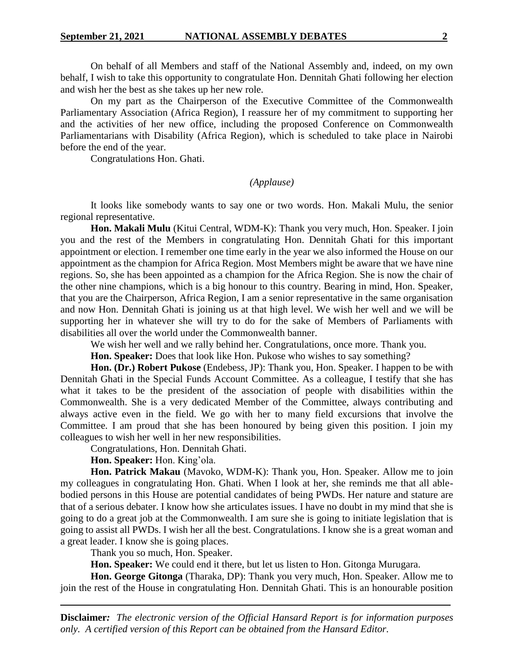On behalf of all Members and staff of the National Assembly and, indeed, on my own behalf, I wish to take this opportunity to congratulate Hon. Dennitah Ghati following her election and wish her the best as she takes up her new role.

On my part as the Chairperson of the Executive Committee of the Commonwealth Parliamentary Association (Africa Region), I reassure her of my commitment to supporting her and the activities of her new office, including the proposed Conference on Commonwealth Parliamentarians with Disability (Africa Region), which is scheduled to take place in Nairobi before the end of the year.

Congratulations Hon. Ghati.

#### *(Applause)*

It looks like somebody wants to say one or two words. Hon. Makali Mulu, the senior regional representative.

**Hon. Makali Mulu** (Kitui Central, WDM-K): Thank you very much, Hon. Speaker. I join you and the rest of the Members in congratulating Hon. Dennitah Ghati for this important appointment or election. I remember one time early in the year we also informed the House on our appointment as the champion for Africa Region. Most Members might be aware that we have nine regions. So, she has been appointed as a champion for the Africa Region. She is now the chair of the other nine champions, which is a big honour to this country. Bearing in mind, Hon. Speaker, that you are the Chairperson, Africa Region, I am a senior representative in the same organisation and now Hon. Dennitah Ghati is joining us at that high level. We wish her well and we will be supporting her in whatever she will try to do for the sake of Members of Parliaments with disabilities all over the world under the Commonwealth banner.

We wish her well and we rally behind her. Congratulations, once more. Thank you.

**Hon. Speaker:** Does that look like Hon. Pukose who wishes to say something?

**Hon. (Dr.) Robert Pukose** (Endebess, JP): Thank you, Hon. Speaker. I happen to be with Dennitah Ghati in the Special Funds Account Committee. As a colleague, I testify that she has what it takes to be the president of the association of people with disabilities within the Commonwealth. She is a very dedicated Member of the Committee, always contributing and always active even in the field. We go with her to many field excursions that involve the Committee. I am proud that she has been honoured by being given this position. I join my colleagues to wish her well in her new responsibilities.

Congratulations, Hon. Dennitah Ghati.

**Hon. Speaker:** Hon. King'ola.

**Hon. Patrick Makau** (Mavoko, WDM-K): Thank you, Hon. Speaker. Allow me to join my colleagues in congratulating Hon. Ghati. When I look at her, she reminds me that all ablebodied persons in this House are potential candidates of being PWDs. Her nature and stature are that of a serious debater. I know how she articulates issues. I have no doubt in my mind that she is going to do a great job at the Commonwealth. I am sure she is going to initiate legislation that is going to assist all PWDs. I wish her all the best. Congratulations. I know she is a great woman and a great leader. I know she is going places.

Thank you so much, Hon. Speaker.

**Hon. Speaker:** We could end it there, but let us listen to Hon. Gitonga Murugara.

**Hon. George Gitonga** (Tharaka, DP): Thank you very much, Hon. Speaker. Allow me to join the rest of the House in congratulating Hon. Dennitah Ghati. This is an honourable position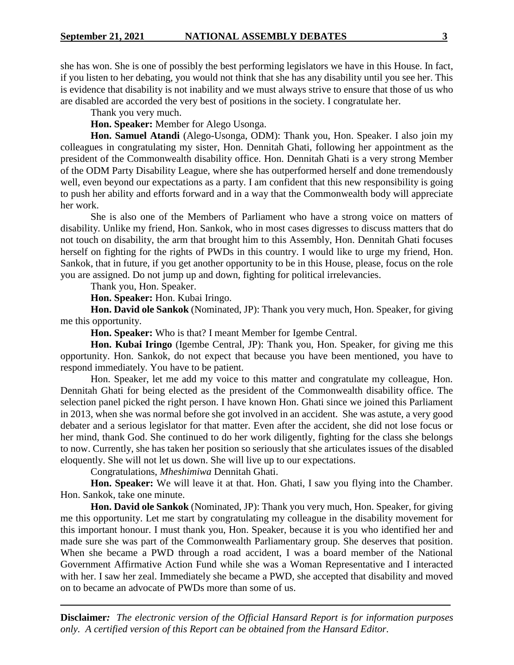she has won. She is one of possibly the best performing legislators we have in this House. In fact, if you listen to her debating, you would not think that she has any disability until you see her. This is evidence that disability is not inability and we must always strive to ensure that those of us who are disabled are accorded the very best of positions in the society. I congratulate her.

Thank you very much.

**Hon. Speaker:** Member for Alego Usonga.

**Hon. Samuel Atandi** (Alego-Usonga, ODM): Thank you, Hon. Speaker. I also join my colleagues in congratulating my sister, Hon. Dennitah Ghati, following her appointment as the president of the Commonwealth disability office. Hon. Dennitah Ghati is a very strong Member of the ODM Party Disability League, where she has outperformed herself and done tremendously well, even beyond our expectations as a party. I am confident that this new responsibility is going to push her ability and efforts forward and in a way that the Commonwealth body will appreciate her work.

She is also one of the Members of Parliament who have a strong voice on matters of disability. Unlike my friend, Hon. Sankok, who in most cases digresses to discuss matters that do not touch on disability, the arm that brought him to this Assembly, Hon. Dennitah Ghati focuses herself on fighting for the rights of PWDs in this country. I would like to urge my friend, Hon. Sankok, that in future, if you get another opportunity to be in this House, please, focus on the role you are assigned. Do not jump up and down, fighting for political irrelevancies.

Thank you, Hon. Speaker.

**Hon. Speaker:** Hon. Kubai Iringo.

**Hon. David ole Sankok** (Nominated, JP): Thank you very much, Hon. Speaker, for giving me this opportunity.

**Hon. Speaker:** Who is that? I meant Member for Igembe Central.

**Hon. Kubai Iringo** (Igembe Central, JP): Thank you, Hon. Speaker, for giving me this opportunity. Hon. Sankok, do not expect that because you have been mentioned, you have to respond immediately. You have to be patient.

Hon. Speaker, let me add my voice to this matter and congratulate my colleague, Hon. Dennitah Ghati for being elected as the president of the Commonwealth disability office. The selection panel picked the right person. I have known Hon. Ghati since we joined this Parliament in 2013, when she was normal before she got involved in an accident. She was astute, a very good debater and a serious legislator for that matter. Even after the accident, she did not lose focus or her mind, thank God. She continued to do her work diligently, fighting for the class she belongs to now. Currently, she has taken her position so seriously that she articulates issues of the disabled eloquently. She will not let us down. She will live up to our expectations.

Congratulations, *Mheshimiwa* Dennitah Ghati.

**Hon. Speaker:** We will leave it at that. Hon. Ghati, I saw you flying into the Chamber. Hon. Sankok, take one minute.

**Hon. David ole Sankok** (Nominated, JP): Thank you very much, Hon. Speaker, for giving me this opportunity. Let me start by congratulating my colleague in the disability movement for this important honour. I must thank you, Hon. Speaker, because it is you who identified her and made sure she was part of the Commonwealth Parliamentary group. She deserves that position. When she became a PWD through a road accident, I was a board member of the National Government Affirmative Action Fund while she was a Woman Representative and I interacted with her. I saw her zeal. Immediately she became a PWD, she accepted that disability and moved on to became an advocate of PWDs more than some of us.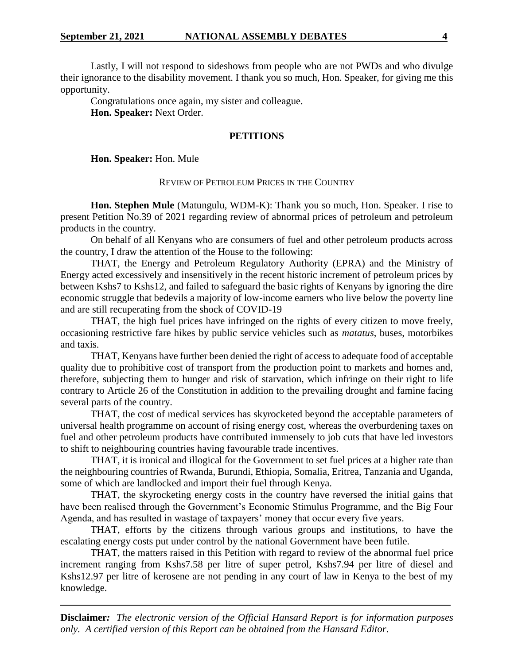Lastly, I will not respond to sideshows from people who are not PWDs and who divulge their ignorance to the disability movement. I thank you so much, Hon. Speaker, for giving me this opportunity.

Congratulations once again, my sister and colleague. **Hon. Speaker:** Next Order.

### **PETITIONS**

**Hon. Speaker:** Hon. Mule

#### REVIEW OF PETROLEUM PRICES IN THE COUNTRY

**Hon. Stephen Mule** (Matungulu, WDM-K): Thank you so much, Hon. Speaker. I rise to present Petition No.39 of 2021 regarding review of abnormal prices of petroleum and petroleum products in the country.

On behalf of all Kenyans who are consumers of fuel and other petroleum products across the country, I draw the attention of the House to the following:

THAT, the Energy and Petroleum Regulatory Authority (EPRA) and the Ministry of Energy acted excessively and insensitively in the recent historic increment of petroleum prices by between Kshs7 to Kshs12, and failed to safeguard the basic rights of Kenyans by ignoring the dire economic struggle that bedevils a majority of low-income earners who live below the poverty line and are still recuperating from the shock of COVID-19

THAT, the high fuel prices have infringed on the rights of every citizen to move freely, occasioning restrictive fare hikes by public service vehicles such as *matatus*, buses, motorbikes and taxis.

THAT, Kenyans have further been denied the right of access to adequate food of acceptable quality due to prohibitive cost of transport from the production point to markets and homes and, therefore, subjecting them to hunger and risk of starvation, which infringe on their right to life contrary to Article 26 of the Constitution in addition to the prevailing drought and famine facing several parts of the country.

THAT, the cost of medical services has skyrocketed beyond the acceptable parameters of universal health programme on account of rising energy cost, whereas the overburdening taxes on fuel and other petroleum products have contributed immensely to job cuts that have led investors to shift to neighbouring countries having favourable trade incentives.

THAT, it is ironical and illogical for the Government to set fuel prices at a higher rate than the neighbouring countries of Rwanda, Burundi, Ethiopia, Somalia, Eritrea, Tanzania and Uganda, some of which are landlocked and import their fuel through Kenya.

THAT, the skyrocketing energy costs in the country have reversed the initial gains that have been realised through the Government's Economic Stimulus Programme, and the Big Four Agenda, and has resulted in wastage of taxpayers' money that occur every five years.

THAT, efforts by the citizens through various groups and institutions, to have the escalating energy costs put under control by the national Government have been futile.

THAT, the matters raised in this Petition with regard to review of the abnormal fuel price increment ranging from Kshs7.58 per litre of super petrol, Kshs7.94 per litre of diesel and Kshs12.97 per litre of kerosene are not pending in any court of law in Kenya to the best of my knowledge.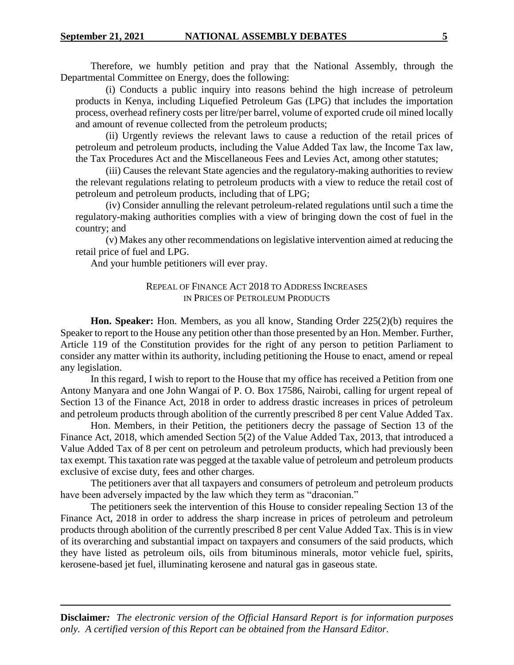Therefore, we humbly petition and pray that the National Assembly, through the Departmental Committee on Energy, does the following:

(i) Conducts a public inquiry into reasons behind the high increase of petroleum products in Kenya, including Liquefied Petroleum Gas (LPG) that includes the importation process, overhead refinery costs per litre/per barrel, volume of exported crude oil mined locally and amount of revenue collected from the petroleum products;

(ii) Urgently reviews the relevant laws to cause a reduction of the retail prices of petroleum and petroleum products, including the Value Added Tax law, the Income Tax law, the Tax Procedures Act and the Miscellaneous Fees and Levies Act, among other statutes;

(iii) Causes the relevant State agencies and the regulatory-making authorities to review the relevant regulations relating to petroleum products with a view to reduce the retail cost of petroleum and petroleum products, including that of LPG;

(iv) Consider annulling the relevant petroleum-related regulations until such a time the regulatory-making authorities complies with a view of bringing down the cost of fuel in the country; and

(v) Makes any other recommendations on legislative intervention aimed at reducing the retail price of fuel and LPG.

And your humble petitioners will ever pray.

# REPEAL OF FINANCE ACT 2018 TO ADDRESS INCREASES IN PRICES OF PETROLEUM PRODUCTS

**Hon. Speaker:** Hon. Members, as you all know, Standing Order 225(2)(b) requires the Speaker to report to the House any petition other than those presented by an Hon. Member. Further, Article 119 of the Constitution provides for the right of any person to petition Parliament to consider any matter within its authority, including petitioning the House to enact, amend or repeal any legislation.

In this regard, I wish to report to the House that my office has received a Petition from one Antony Manyara and one John Wangai of P. O. Box 17586, Nairobi, calling for urgent repeal of Section 13 of the Finance Act, 2018 in order to address drastic increases in prices of petroleum and petroleum products through abolition of the currently prescribed 8 per cent Value Added Tax.

Hon. Members, in their Petition, the petitioners decry the passage of Section 13 of the Finance Act, 2018, which amended Section 5(2) of the Value Added Tax, 2013, that introduced a Value Added Tax of 8 per cent on petroleum and petroleum products, which had previously been tax exempt. This taxation rate was pegged at the taxable value of petroleum and petroleum products exclusive of excise duty, fees and other charges.

The petitioners aver that all taxpayers and consumers of petroleum and petroleum products have been adversely impacted by the law which they term as "draconian."

The petitioners seek the intervention of this House to consider repealing Section 13 of the Finance Act, 2018 in order to address the sharp increase in prices of petroleum and petroleum products through abolition of the currently prescribed 8 per cent Value Added Tax. This is in view of its overarching and substantial impact on taxpayers and consumers of the said products, which they have listed as petroleum oils, oils from bituminous minerals, motor vehicle fuel, spirits, kerosene-based jet fuel, illuminating kerosene and natural gas in gaseous state.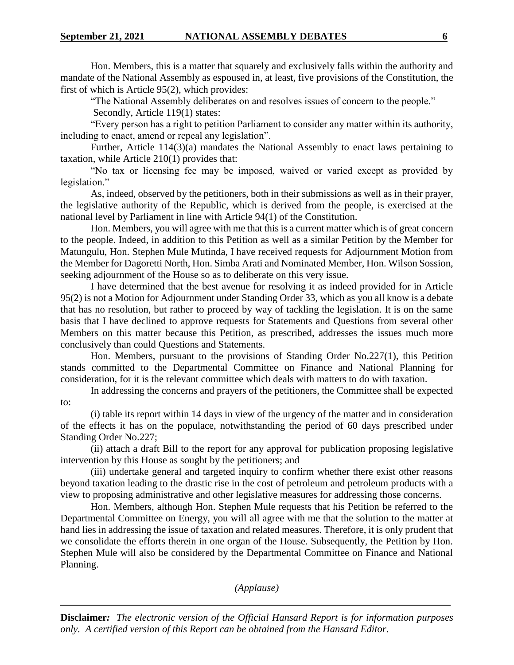Hon. Members, this is a matter that squarely and exclusively falls within the authority and mandate of the National Assembly as espoused in, at least, five provisions of the Constitution, the first of which is Article 95(2), which provides:

"The National Assembly deliberates on and resolves issues of concern to the people." Secondly, Article 119(1) states:

"Every person has a right to petition Parliament to consider any matter within its authority, including to enact, amend or repeal any legislation".

Further, Article 114(3)(a) mandates the National Assembly to enact laws pertaining to taxation, while Article 210(1) provides that:

"No tax or licensing fee may be imposed, waived or varied except as provided by legislation."

As, indeed, observed by the petitioners, both in their submissions as well as in their prayer, the legislative authority of the Republic, which is derived from the people, is exercised at the national level by Parliament in line with Article 94(1) of the Constitution.

Hon. Members, you will agree with me that this is a current matter which is of great concern to the people. Indeed, in addition to this Petition as well as a similar Petition by the Member for Matungulu, Hon. Stephen Mule Mutinda, I have received requests for Adjournment Motion from the Member for Dagoretti North, Hon. Simba Arati and Nominated Member, Hon. Wilson Sossion, seeking adjournment of the House so as to deliberate on this very issue.

I have determined that the best avenue for resolving it as indeed provided for in Article 95(2) is not a Motion for Adjournment under Standing Order 33, which as you all know is a debate that has no resolution, but rather to proceed by way of tackling the legislation. It is on the same basis that I have declined to approve requests for Statements and Questions from several other Members on this matter because this Petition, as prescribed, addresses the issues much more conclusively than could Questions and Statements.

Hon. Members, pursuant to the provisions of Standing Order No.227(1), this Petition stands committed to the Departmental Committee on Finance and National Planning for consideration, for it is the relevant committee which deals with matters to do with taxation.

In addressing the concerns and prayers of the petitioners, the Committee shall be expected to:

(i) table its report within 14 days in view of the urgency of the matter and in consideration of the effects it has on the populace, notwithstanding the period of 60 days prescribed under Standing Order No.227;

(ii) attach a draft Bill to the report for any approval for publication proposing legislative intervention by this House as sought by the petitioners; and

(iii) undertake general and targeted inquiry to confirm whether there exist other reasons beyond taxation leading to the drastic rise in the cost of petroleum and petroleum products with a view to proposing administrative and other legislative measures for addressing those concerns.

Hon. Members, although Hon. Stephen Mule requests that his Petition be referred to the Departmental Committee on Energy, you will all agree with me that the solution to the matter at hand lies in addressing the issue of taxation and related measures. Therefore, it is only prudent that we consolidate the efforts therein in one organ of the House. Subsequently, the Petition by Hon. Stephen Mule will also be considered by the Departmental Committee on Finance and National Planning.

*(Applause)*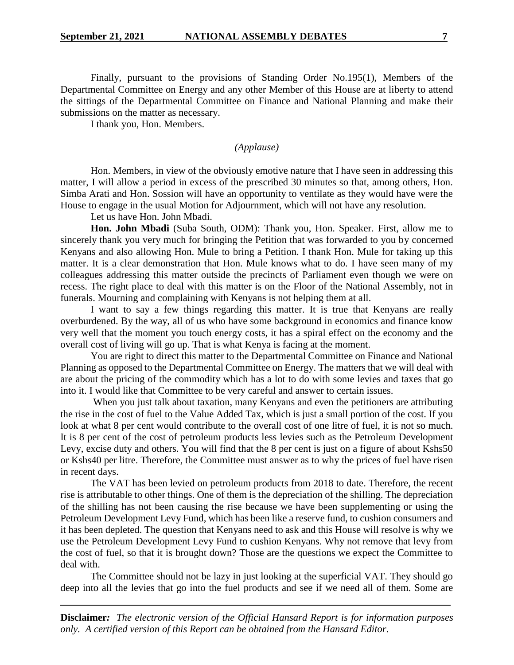Finally, pursuant to the provisions of Standing Order No.195(1), Members of the Departmental Committee on Energy and any other Member of this House are at liberty to attend the sittings of the Departmental Committee on Finance and National Planning and make their submissions on the matter as necessary.

I thank you, Hon. Members.

*(Applause)*

Hon. Members, in view of the obviously emotive nature that I have seen in addressing this matter, I will allow a period in excess of the prescribed 30 minutes so that, among others, Hon. Simba Arati and Hon. Sossion will have an opportunity to ventilate as they would have were the House to engage in the usual Motion for Adjournment, which will not have any resolution.

Let us have Hon. John Mbadi.

**Hon. John Mbadi** (Suba South, ODM): Thank you, Hon. Speaker. First, allow me to sincerely thank you very much for bringing the Petition that was forwarded to you by concerned Kenyans and also allowing Hon. Mule to bring a Petition. I thank Hon. Mule for taking up this matter. It is a clear demonstration that Hon. Mule knows what to do. I have seen many of my colleagues addressing this matter outside the precincts of Parliament even though we were on recess. The right place to deal with this matter is on the Floor of the National Assembly, not in funerals. Mourning and complaining with Kenyans is not helping them at all.

I want to say a few things regarding this matter. It is true that Kenyans are really overburdened. By the way, all of us who have some background in economics and finance know very well that the moment you touch energy costs, it has a spiral effect on the economy and the overall cost of living will go up. That is what Kenya is facing at the moment.

You are right to direct this matter to the Departmental Committee on Finance and National Planning as opposed to the Departmental Committee on Energy. The matters that we will deal with are about the pricing of the commodity which has a lot to do with some levies and taxes that go into it. I would like that Committee to be very careful and answer to certain issues.

When you just talk about taxation, many Kenyans and even the petitioners are attributing the rise in the cost of fuel to the Value Added Tax, which is just a small portion of the cost. If you look at what 8 per cent would contribute to the overall cost of one litre of fuel, it is not so much. It is 8 per cent of the cost of petroleum products less levies such as the Petroleum Development Levy, excise duty and others. You will find that the 8 per cent is just on a figure of about Kshs50 or Kshs40 per litre. Therefore, the Committee must answer as to why the prices of fuel have risen in recent days.

The VAT has been levied on petroleum products from 2018 to date. Therefore, the recent rise is attributable to other things. One of them is the depreciation of the shilling. The depreciation of the shilling has not been causing the rise because we have been supplementing or using the Petroleum Development Levy Fund, which has been like a reserve fund, to cushion consumers and it has been depleted. The question that Kenyans need to ask and this House will resolve is why we use the Petroleum Development Levy Fund to cushion Kenyans. Why not remove that levy from the cost of fuel, so that it is brought down? Those are the questions we expect the Committee to deal with.

The Committee should not be lazy in just looking at the superficial VAT. They should go deep into all the levies that go into the fuel products and see if we need all of them. Some are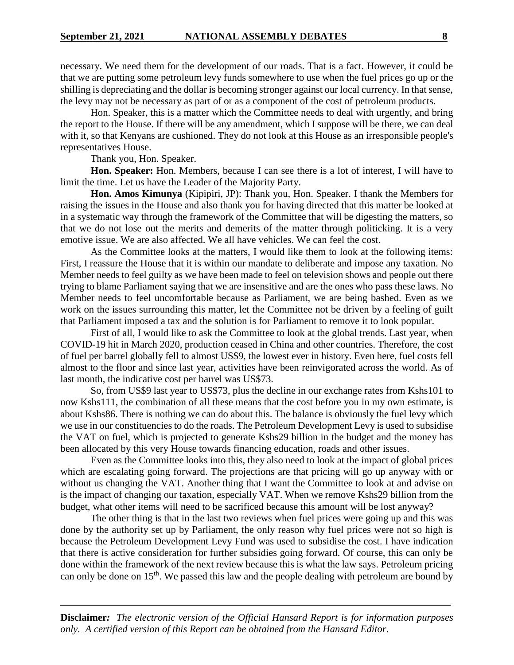necessary. We need them for the development of our roads. That is a fact. However, it could be that we are putting some petroleum levy funds somewhere to use when the fuel prices go up or the shilling is depreciating and the dollar is becoming stronger against our local currency. In that sense, the levy may not be necessary as part of or as a component of the cost of petroleum products.

Hon. Speaker, this is a matter which the Committee needs to deal with urgently, and bring the report to the House. If there will be any amendment, which I suppose will be there, we can deal with it, so that Kenyans are cushioned. They do not look at this House as an irresponsible people's representatives House.

Thank you, Hon. Speaker.

**Hon. Speaker:** Hon. Members, because I can see there is a lot of interest, I will have to limit the time. Let us have the Leader of the Majority Party.

**Hon. Amos Kimunya** (Kipipiri, JP): Thank you, Hon. Speaker. I thank the Members for raising the issues in the House and also thank you for having directed that this matter be looked at in a systematic way through the framework of the Committee that will be digesting the matters, so that we do not lose out the merits and demerits of the matter through politicking. It is a very emotive issue. We are also affected. We all have vehicles. We can feel the cost.

As the Committee looks at the matters, I would like them to look at the following items: First, I reassure the House that it is within our mandate to deliberate and impose any taxation. No Member needs to feel guilty as we have been made to feel on television shows and people out there trying to blame Parliament saying that we are insensitive and are the ones who pass these laws. No Member needs to feel uncomfortable because as Parliament, we are being bashed. Even as we work on the issues surrounding this matter, let the Committee not be driven by a feeling of guilt that Parliament imposed a tax and the solution is for Parliament to remove it to look popular.

First of all, I would like to ask the Committee to look at the global trends. Last year, when COVID-19 hit in March 2020, production ceased in China and other countries. Therefore, the cost of fuel per barrel globally fell to almost US\$9, the lowest ever in history. Even here, fuel costs fell almost to the floor and since last year, activities have been reinvigorated across the world. As of last month, the indicative cost per barrel was US\$73.

So, from US\$9 last year to US\$73, plus the decline in our exchange rates from Kshs101 to now Kshs111, the combination of all these means that the cost before you in my own estimate, is about Kshs86. There is nothing we can do about this. The balance is obviously the fuel levy which we use in our constituencies to do the roads. The Petroleum Development Levy is used to subsidise the VAT on fuel, which is projected to generate Kshs29 billion in the budget and the money has been allocated by this very House towards financing education, roads and other issues.

Even as the Committee looks into this, they also need to look at the impact of global prices which are escalating going forward. The projections are that pricing will go up anyway with or without us changing the VAT. Another thing that I want the Committee to look at and advise on is the impact of changing our taxation, especially VAT. When we remove Kshs29 billion from the budget, what other items will need to be sacrificed because this amount will be lost anyway?

The other thing is that in the last two reviews when fuel prices were going up and this was done by the authority set up by Parliament, the only reason why fuel prices were not so high is because the Petroleum Development Levy Fund was used to subsidise the cost. I have indication that there is active consideration for further subsidies going forward. Of course, this can only be done within the framework of the next review because this is what the law says. Petroleum pricing can only be done on 15<sup>th</sup>. We passed this law and the people dealing with petroleum are bound by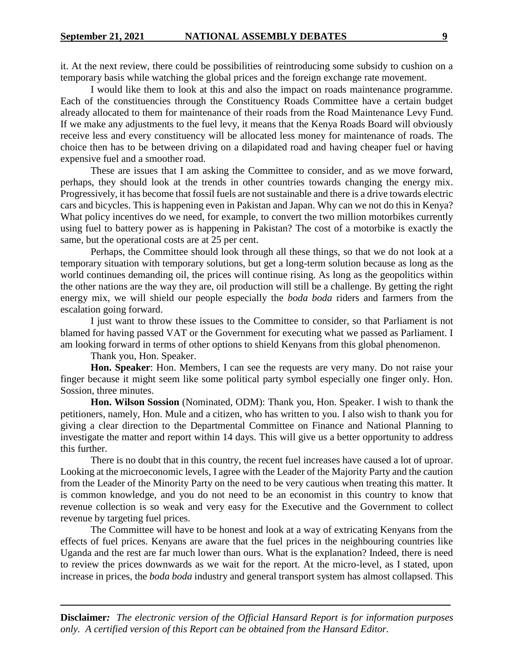it. At the next review, there could be possibilities of reintroducing some subsidy to cushion on a temporary basis while watching the global prices and the foreign exchange rate movement.

I would like them to look at this and also the impact on roads maintenance programme. Each of the constituencies through the Constituency Roads Committee have a certain budget already allocated to them for maintenance of their roads from the Road Maintenance Levy Fund. If we make any adjustments to the fuel levy, it means that the Kenya Roads Board will obviously receive less and every constituency will be allocated less money for maintenance of roads. The choice then has to be between driving on a dilapidated road and having cheaper fuel or having expensive fuel and a smoother road.

These are issues that I am asking the Committee to consider, and as we move forward, perhaps, they should look at the trends in other countries towards changing the energy mix. Progressively, it has become that fossil fuels are not sustainable and there is a drive towards electric cars and bicycles. This is happening even in Pakistan and Japan. Why can we not do this in Kenya? What policy incentives do we need, for example, to convert the two million motorbikes currently using fuel to battery power as is happening in Pakistan? The cost of a motorbike is exactly the same, but the operational costs are at 25 per cent.

Perhaps, the Committee should look through all these things, so that we do not look at a temporary situation with temporary solutions, but get a long-term solution because as long as the world continues demanding oil, the prices will continue rising. As long as the geopolitics within the other nations are the way they are, oil production will still be a challenge. By getting the right energy mix, we will shield our people especially the *boda boda* riders and farmers from the escalation going forward.

I just want to throw these issues to the Committee to consider, so that Parliament is not blamed for having passed VAT or the Government for executing what we passed as Parliament. I am looking forward in terms of other options to shield Kenyans from this global phenomenon.

Thank you, Hon. Speaker.

**Hon. Speaker**: Hon. Members, I can see the requests are very many. Do not raise your finger because it might seem like some political party symbol especially one finger only. Hon. Sossion, three minutes.

**Hon. Wilson Sossion** (Nominated, ODM): Thank you, Hon. Speaker. I wish to thank the petitioners, namely, Hon. Mule and a citizen, who has written to you. I also wish to thank you for giving a clear direction to the Departmental Committee on Finance and National Planning to investigate the matter and report within 14 days. This will give us a better opportunity to address this further.

There is no doubt that in this country, the recent fuel increases have caused a lot of uproar. Looking at the microeconomic levels, I agree with the Leader of the Majority Party and the caution from the Leader of the Minority Party on the need to be very cautious when treating this matter. It is common knowledge, and you do not need to be an economist in this country to know that revenue collection is so weak and very easy for the Executive and the Government to collect revenue by targeting fuel prices.

The Committee will have to be honest and look at a way of extricating Kenyans from the effects of fuel prices. Kenyans are aware that the fuel prices in the neighbouring countries like Uganda and the rest are far much lower than ours. What is the explanation? Indeed, there is need to review the prices downwards as we wait for the report. At the micro-level, as I stated, upon increase in prices, the *boda boda* industry and general transport system has almost collapsed. This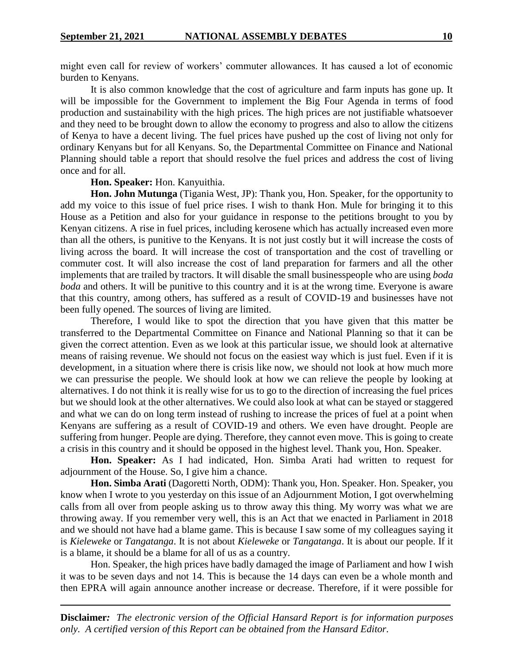might even call for review of workers' commuter allowances. It has caused a lot of economic burden to Kenyans.

It is also common knowledge that the cost of agriculture and farm inputs has gone up. It will be impossible for the Government to implement the Big Four Agenda in terms of food production and sustainability with the high prices. The high prices are not justifiable whatsoever and they need to be brought down to allow the economy to progress and also to allow the citizens of Kenya to have a decent living. The fuel prices have pushed up the cost of living not only for ordinary Kenyans but for all Kenyans. So, the Departmental Committee on Finance and National Planning should table a report that should resolve the fuel prices and address the cost of living once and for all.

### **Hon. Speaker:** Hon. Kanyuithia.

**Hon. John Mutunga** (Tigania West, JP): Thank you, Hon. Speaker, for the opportunity to add my voice to this issue of fuel price rises. I wish to thank Hon. Mule for bringing it to this House as a Petition and also for your guidance in response to the petitions brought to you by Kenyan citizens. A rise in fuel prices, including kerosene which has actually increased even more than all the others, is punitive to the Kenyans. It is not just costly but it will increase the costs of living across the board. It will increase the cost of transportation and the cost of travelling or commuter cost. It will also increase the cost of land preparation for farmers and all the other implements that are trailed by tractors. It will disable the small businesspeople who are using *boda boda* and others. It will be punitive to this country and it is at the wrong time. Everyone is aware that this country, among others, has suffered as a result of COVID-19 and businesses have not been fully opened. The sources of living are limited.

Therefore, I would like to spot the direction that you have given that this matter be transferred to the Departmental Committee on Finance and National Planning so that it can be given the correct attention. Even as we look at this particular issue, we should look at alternative means of raising revenue. We should not focus on the easiest way which is just fuel. Even if it is development, in a situation where there is crisis like now, we should not look at how much more we can pressurise the people. We should look at how we can relieve the people by looking at alternatives. I do not think it is really wise for us to go to the direction of increasing the fuel prices but we should look at the other alternatives. We could also look at what can be stayed or staggered and what we can do on long term instead of rushing to increase the prices of fuel at a point when Kenyans are suffering as a result of COVID-19 and others. We even have drought. People are suffering from hunger. People are dying. Therefore, they cannot even move. This is going to create a crisis in this country and it should be opposed in the highest level. Thank you, Hon. Speaker.

**Hon. Speaker:** As I had indicated, Hon. Simba Arati had written to request for adjournment of the House. So, I give him a chance.

**Hon. Simba Arati** (Dagoretti North, ODM): Thank you, Hon. Speaker. Hon. Speaker, you know when I wrote to you yesterday on this issue of an Adjournment Motion, I got overwhelming calls from all over from people asking us to throw away this thing. My worry was what we are throwing away. If you remember very well, this is an Act that we enacted in Parliament in 2018 and we should not have had a blame game. This is because I saw some of my colleagues saying it is *Kieleweke* or *Tangatanga*. It is not about *Kieleweke* or *Tangatanga*. It is about our people. If it is a blame, it should be a blame for all of us as a country.

Hon. Speaker, the high prices have badly damaged the image of Parliament and how I wish it was to be seven days and not 14. This is because the 14 days can even be a whole month and then EPRA will again announce another increase or decrease. Therefore, if it were possible for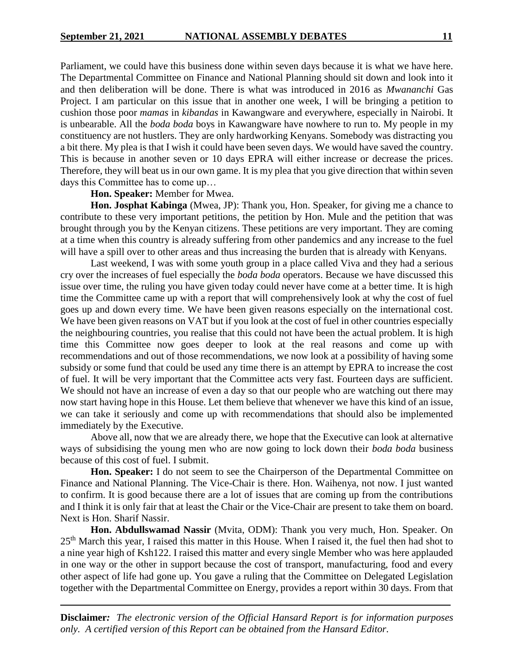Parliament, we could have this business done within seven days because it is what we have here. The Departmental Committee on Finance and National Planning should sit down and look into it and then deliberation will be done. There is what was introduced in 2016 as *Mwananchi* Gas Project. I am particular on this issue that in another one week, I will be bringing a petition to cushion those poor *mamas* in *kibandas* in Kawangware and everywhere, especially in Nairobi. It is unbearable. All the *boda boda* boys in Kawangware have nowhere to run to. My people in my constituency are not hustlers. They are only hardworking Kenyans. Somebody was distracting you a bit there. My plea is that I wish it could have been seven days. We would have saved the country. This is because in another seven or 10 days EPRA will either increase or decrease the prices. Therefore, they will beat us in our own game. It is my plea that you give direction that within seven days this Committee has to come up…

#### **Hon. Speaker:** Member for Mwea.

**Hon. Josphat Kabinga** (Mwea, JP): Thank you, Hon. Speaker, for giving me a chance to contribute to these very important petitions, the petition by Hon. Mule and the petition that was brought through you by the Kenyan citizens. These petitions are very important. They are coming at a time when this country is already suffering from other pandemics and any increase to the fuel will have a spill over to other areas and thus increasing the burden that is already with Kenyans.

Last weekend, I was with some youth group in a place called Viva and they had a serious cry over the increases of fuel especially the *boda boda* operators. Because we have discussed this issue over time, the ruling you have given today could never have come at a better time. It is high time the Committee came up with a report that will comprehensively look at why the cost of fuel goes up and down every time. We have been given reasons especially on the international cost. We have been given reasons on VAT but if you look at the cost of fuel in other countries especially the neighbouring countries, you realise that this could not have been the actual problem. It is high time this Committee now goes deeper to look at the real reasons and come up with recommendations and out of those recommendations, we now look at a possibility of having some subsidy or some fund that could be used any time there is an attempt by EPRA to increase the cost of fuel. It will be very important that the Committee acts very fast. Fourteen days are sufficient. We should not have an increase of even a day so that our people who are watching out there may now start having hope in this House. Let them believe that whenever we have this kind of an issue, we can take it seriously and come up with recommendations that should also be implemented immediately by the Executive.

Above all, now that we are already there, we hope that the Executive can look at alternative ways of subsidising the young men who are now going to lock down their *boda boda* business because of this cost of fuel. I submit.

**Hon. Speaker:** I do not seem to see the Chairperson of the Departmental Committee on Finance and National Planning. The Vice-Chair is there. Hon. Waihenya, not now. I just wanted to confirm. It is good because there are a lot of issues that are coming up from the contributions and I think it is only fair that at least the Chair or the Vice-Chair are present to take them on board. Next is Hon. Sharif Nassir.

**Hon. Abdullswamad Nassir** (Mvita, ODM): Thank you very much, Hon. Speaker. On 25th March this year, I raised this matter in this House. When I raised it, the fuel then had shot to a nine year high of Ksh122. I raised this matter and every single Member who was here applauded in one way or the other in support because the cost of transport, manufacturing, food and every other aspect of life had gone up. You gave a ruling that the Committee on Delegated Legislation together with the Departmental Committee on Energy, provides a report within 30 days. From that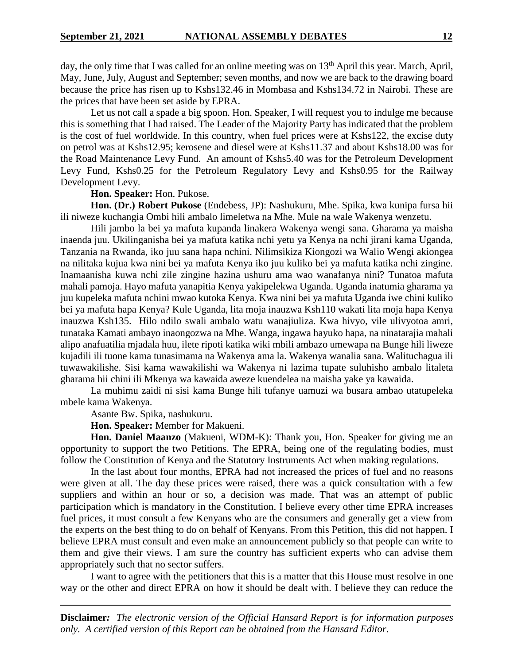day, the only time that I was called for an online meeting was on  $13<sup>th</sup>$  April this year. March, April, May, June, July, August and September; seven months, and now we are back to the drawing board because the price has risen up to Kshs132.46 in Mombasa and Kshs134.72 in Nairobi. These are the prices that have been set aside by EPRA.

Let us not call a spade a big spoon. Hon. Speaker, I will request you to indulge me because this is something that I had raised. The Leader of the Majority Party has indicated that the problem is the cost of fuel worldwide. In this country, when fuel prices were at Kshs122, the excise duty on petrol was at Kshs12.95; kerosene and diesel were at Kshs11.37 and about Kshs18.00 was for the Road Maintenance Levy Fund. An amount of Kshs5.40 was for the Petroleum Development Levy Fund, Kshs0.25 for the Petroleum Regulatory Levy and Kshs0.95 for the Railway Development Levy.

#### **Hon. Speaker:** Hon. Pukose.

**Hon. (Dr.) Robert Pukose** (Endebess, JP): Nashukuru, Mhe. Spika, kwa kunipa fursa hii ili niweze kuchangia Ombi hili ambalo limeletwa na Mhe. Mule na wale Wakenya wenzetu.

Hili jambo la bei ya mafuta kupanda linakera Wakenya wengi sana. Gharama ya maisha inaenda juu. Ukilinganisha bei ya mafuta katika nchi yetu ya Kenya na nchi jirani kama Uganda, Tanzania na Rwanda, iko juu sana hapa nchini. Nilimsikiza Kiongozi wa Walio Wengi akiongea na nilitaka kujua kwa nini bei ya mafuta Kenya iko juu kuliko bei ya mafuta katika nchi zingine. Inamaanisha kuwa nchi zile zingine hazina ushuru ama wao wanafanya nini? Tunatoa mafuta mahali pamoja. Hayo mafuta yanapitia Kenya yakipelekwa Uganda. Uganda inatumia gharama ya juu kupeleka mafuta nchini mwao kutoka Kenya. Kwa nini bei ya mafuta Uganda iwe chini kuliko bei ya mafuta hapa Kenya? Kule Uganda, lita moja inauzwa Ksh110 wakati lita moja hapa Kenya inauzwa Ksh135. Hilo ndilo swali ambalo watu wanajiuliza. Kwa hivyo, vile ulivyotoa amri, tunataka Kamati ambayo inaongozwa na Mhe. Wanga, ingawa hayuko hapa, na ninatarajia mahali alipo anafuatilia mjadala huu, ilete ripoti katika wiki mbili ambazo umewapa na Bunge hili liweze kujadili ili tuone kama tunasimama na Wakenya ama la. Wakenya wanalia sana. Walituchagua ili tuwawakilishe. Sisi kama wawakilishi wa Wakenya ni lazima tupate suluhisho ambalo litaleta gharama hii chini ili Mkenya wa kawaida aweze kuendelea na maisha yake ya kawaida.

La muhimu zaidi ni sisi kama Bunge hili tufanye uamuzi wa busara ambao utatupeleka mbele kama Wakenya.

Asante Bw. Spika, nashukuru.

**Hon. Speaker:** Member for Makueni.

**Hon. Daniel Maanzo** (Makueni, WDM-K): Thank you, Hon. Speaker for giving me an opportunity to support the two Petitions. The EPRA, being one of the regulating bodies, must follow the Constitution of Kenya and the Statutory Instruments Act when making regulations.

In the last about four months, EPRA had not increased the prices of fuel and no reasons were given at all. The day these prices were raised, there was a quick consultation with a few suppliers and within an hour or so, a decision was made. That was an attempt of public participation which is mandatory in the Constitution. I believe every other time EPRA increases fuel prices, it must consult a few Kenyans who are the consumers and generally get a view from the experts on the best thing to do on behalf of Kenyans. From this Petition, this did not happen. I believe EPRA must consult and even make an announcement publicly so that people can write to them and give their views. I am sure the country has sufficient experts who can advise them appropriately such that no sector suffers.

I want to agree with the petitioners that this is a matter that this House must resolve in one way or the other and direct EPRA on how it should be dealt with. I believe they can reduce the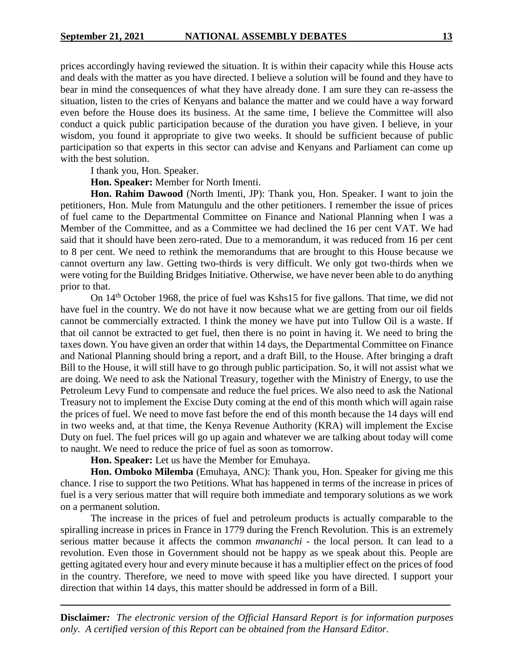prices accordingly having reviewed the situation. It is within their capacity while this House acts and deals with the matter as you have directed. I believe a solution will be found and they have to bear in mind the consequences of what they have already done. I am sure they can re-assess the situation, listen to the cries of Kenyans and balance the matter and we could have a way forward even before the House does its business. At the same time, I believe the Committee will also conduct a quick public participation because of the duration you have given. I believe, in your wisdom, you found it appropriate to give two weeks. It should be sufficient because of public participation so that experts in this sector can advise and Kenyans and Parliament can come up with the best solution.

I thank you, Hon. Speaker.

**Hon. Speaker:** Member for North Imenti.

**Hon. Rahim Dawood** (North Imenti, JP): Thank you, Hon. Speaker. I want to join the petitioners, Hon. Mule from Matungulu and the other petitioners. I remember the issue of prices of fuel came to the Departmental Committee on Finance and National Planning when I was a Member of the Committee, and as a Committee we had declined the 16 per cent VAT. We had said that it should have been zero-rated. Due to a memorandum, it was reduced from 16 per cent to 8 per cent. We need to rethink the memorandums that are brought to this House because we cannot overturn any law. Getting two-thirds is very difficult. We only got two-thirds when we were voting for the Building Bridges Initiative. Otherwise, we have never been able to do anything prior to that.

On 14th October 1968, the price of fuel was Kshs15 for five gallons. That time, we did not have fuel in the country. We do not have it now because what we are getting from our oil fields cannot be commercially extracted. I think the money we have put into Tullow Oil is a waste. If that oil cannot be extracted to get fuel, then there is no point in having it. We need to bring the taxes down. You have given an order that within 14 days, the Departmental Committee on Finance and National Planning should bring a report, and a draft Bill, to the House. After bringing a draft Bill to the House, it will still have to go through public participation. So, it will not assist what we are doing. We need to ask the National Treasury, together with the Ministry of Energy, to use the Petroleum Levy Fund to compensate and reduce the fuel prices. We also need to ask the National Treasury not to implement the Excise Duty coming at the end of this month which will again raise the prices of fuel. We need to move fast before the end of this month because the 14 days will end in two weeks and, at that time, the Kenya Revenue Authority (KRA) will implement the Excise Duty on fuel. The fuel prices will go up again and whatever we are talking about today will come to naught. We need to reduce the price of fuel as soon as tomorrow.

**Hon. Speaker:** Let us have the Member for Emuhaya.

**Hon. Omboko Milemba** (Emuhaya, ANC): Thank you, Hon. Speaker for giving me this chance. I rise to support the two Petitions. What has happened in terms of the increase in prices of fuel is a very serious matter that will require both immediate and temporary solutions as we work on a permanent solution.

The increase in the prices of fuel and petroleum products is actually comparable to the spiralling increase in prices in France in 1779 during the French Revolution. This is an extremely serious matter because it affects the common *mwananchi* - the local person. It can lead to a revolution. Even those in Government should not be happy as we speak about this. People are getting agitated every hour and every minute because it has a multiplier effect on the prices of food in the country. Therefore, we need to move with speed like you have directed. I support your direction that within 14 days, this matter should be addressed in form of a Bill.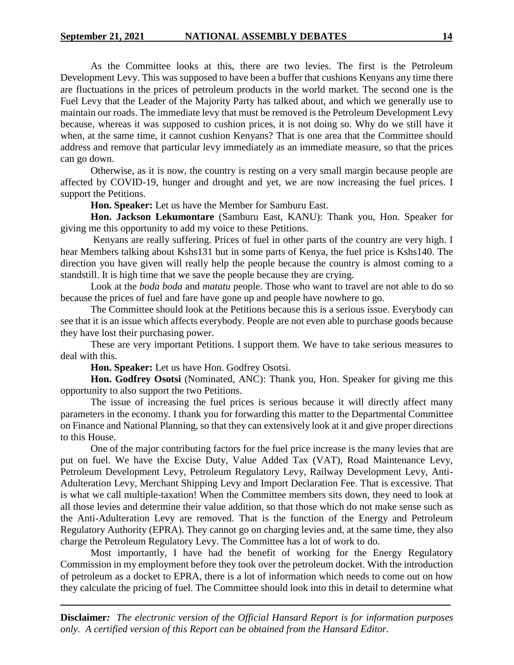As the Committee looks at this, there are two levies. The first is the Petroleum Development Levy. This was supposed to have been a buffer that cushions Kenyans any time there are fluctuations in the prices of petroleum products in the world market. The second one is the Fuel Levy that the Leader of the Majority Party has talked about, and which we generally use to maintain our roads. The immediate levy that must be removed is the Petroleum Development Levy because, whereas it was supposed to cushion prices, it is not doing so. Why do we still have it when, at the same time, it cannot cushion Kenyans? That is one area that the Committee should address and remove that particular levy immediately as an immediate measure, so that the prices can go down.

Otherwise, as it is now, the country is resting on a very small margin because people are affected by COVID-19, hunger and drought and yet, we are now increasing the fuel prices. I support the Petitions.

**Hon. Speaker:** Let us have the Member for Samburu East.

**Hon. Jackson Lekumontare** (Samburu East, KANU): Thank you, Hon. Speaker for giving me this opportunity to add my voice to these Petitions.

Kenyans are really suffering. Prices of fuel in other parts of the country are very high. I hear Members talking about Kshs131 but in some parts of Kenya, the fuel price is Kshs140. The direction you have given will really help the people because the country is almost coming to a standstill. It is high time that we save the people because they are crying.

Look at the *boda boda* and *matatu* people. Those who want to travel are not able to do so because the prices of fuel and fare have gone up and people have nowhere to go.

The Committee should look at the Petitions because this is a serious issue. Everybody can see that it is an issue which affects everybody. People are not even able to purchase goods because they have lost their purchasing power.

These are very important Petitions. I support them. We have to take serious measures to deal with this.

**Hon. Speaker:** Let us have Hon. Godfrey Osotsi.

**Hon. Godfrey Osotsi** (Nominated, ANC): Thank you, Hon. Speaker for giving me this opportunity to also support the two Petitions.

The issue of increasing the fuel prices is serious because it will directly affect many parameters in the economy. I thank you for forwarding this matter to the Departmental Committee on Finance and National Planning, so that they can extensively look at it and give proper directions to this House.

One of the major contributing factors for the fuel price increase is the many levies that are put on fuel. We have the Excise Duty, Value Added Tax (VAT), Road Maintenance Levy, Petroleum Development Levy, Petroleum Regulatory Levy, Railway Development Levy, Anti-Adulteration Levy, Merchant Shipping Levy and Import Declaration Fee. That is excessive. That is what we call multiple-taxation! When the Committee members sits down, they need to look at all those levies and determine their value addition, so that those which do not make sense such as the Anti-Adulteration Levy are removed. That is the function of the Energy and Petroleum Regulatory Authority (EPRA). They cannot go on charging levies and, at the same time, they also charge the Petroleum Regulatory Levy. The Committee has a lot of work to do.

Most importantly, I have had the benefit of working for the Energy Regulatory Commission in my employment before they took over the petroleum docket. With the introduction of petroleum as a docket to EPRA, there is a lot of information which needs to come out on how they calculate the pricing of fuel. The Committee should look into this in detail to determine what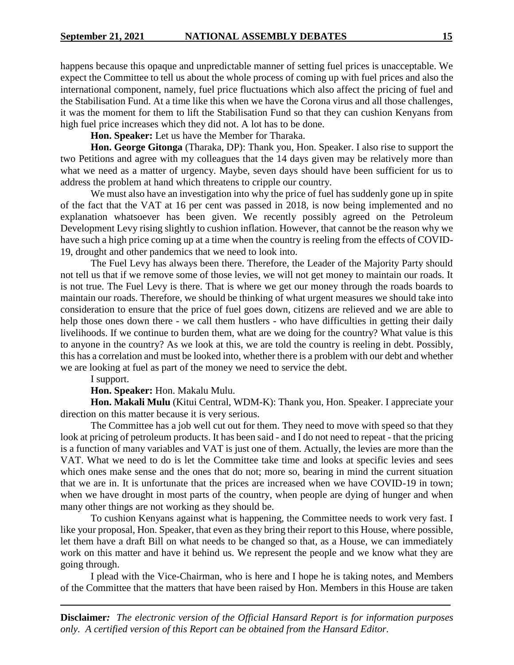happens because this opaque and unpredictable manner of setting fuel prices is unacceptable. We expect the Committee to tell us about the whole process of coming up with fuel prices and also the international component, namely, fuel price fluctuations which also affect the pricing of fuel and the Stabilisation Fund. At a time like this when we have the Corona virus and all those challenges, it was the moment for them to lift the Stabilisation Fund so that they can cushion Kenyans from high fuel price increases which they did not. A lot has to be done.

**Hon. Speaker:** Let us have the Member for Tharaka.

**Hon. George Gitonga** (Tharaka, DP): Thank you, Hon. Speaker. I also rise to support the two Petitions and agree with my colleagues that the 14 days given may be relatively more than what we need as a matter of urgency. Maybe, seven days should have been sufficient for us to address the problem at hand which threatens to cripple our country.

We must also have an investigation into why the price of fuel has suddenly gone up in spite of the fact that the VAT at 16 per cent was passed in 2018, is now being implemented and no explanation whatsoever has been given. We recently possibly agreed on the Petroleum Development Levy rising slightly to cushion inflation. However, that cannot be the reason why we have such a high price coming up at a time when the country is reeling from the effects of COVID-19, drought and other pandemics that we need to look into.

The Fuel Levy has always been there. Therefore, the Leader of the Majority Party should not tell us that if we remove some of those levies, we will not get money to maintain our roads. It is not true. The Fuel Levy is there. That is where we get our money through the roads boards to maintain our roads. Therefore, we should be thinking of what urgent measures we should take into consideration to ensure that the price of fuel goes down, citizens are relieved and we are able to help those ones down there - we call them hustlers - who have difficulties in getting their daily livelihoods. If we continue to burden them, what are we doing for the country? What value is this to anyone in the country? As we look at this, we are told the country is reeling in debt. Possibly, this has a correlation and must be looked into, whether there is a problem with our debt and whether we are looking at fuel as part of the money we need to service the debt.

I support.

#### **Hon. Speaker:** Hon. Makalu Mulu.

**Hon. Makali Mulu** (Kitui Central, WDM-K): Thank you, Hon. Speaker. I appreciate your direction on this matter because it is very serious.

The Committee has a job well cut out for them. They need to move with speed so that they look at pricing of petroleum products. It has been said - and I do not need to repeat - that the pricing is a function of many variables and VAT is just one of them. Actually, the levies are more than the VAT. What we need to do is let the Committee take time and looks at specific levies and sees which ones make sense and the ones that do not; more so, bearing in mind the current situation that we are in. It is unfortunate that the prices are increased when we have COVID-19 in town; when we have drought in most parts of the country, when people are dying of hunger and when many other things are not working as they should be.

To cushion Kenyans against what is happening, the Committee needs to work very fast. I like your proposal, Hon. Speaker, that even as they bring their report to this House, where possible, let them have a draft Bill on what needs to be changed so that, as a House, we can immediately work on this matter and have it behind us. We represent the people and we know what they are going through.

I plead with the Vice-Chairman, who is here and I hope he is taking notes, and Members of the Committee that the matters that have been raised by Hon. Members in this House are taken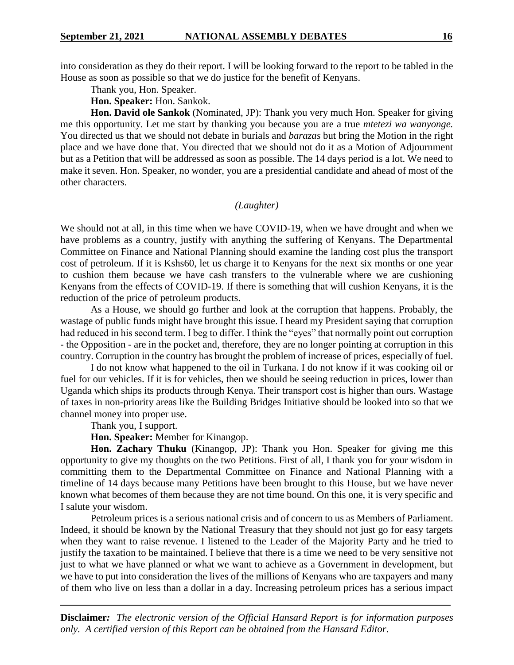into consideration as they do their report. I will be looking forward to the report to be tabled in the House as soon as possible so that we do justice for the benefit of Kenyans.

Thank you, Hon. Speaker.

**Hon. Speaker:** Hon. Sankok.

**Hon. David ole Sankok** (Nominated, JP): Thank you very much Hon. Speaker for giving me this opportunity. Let me start by thanking you because you are a true *mtetezi wa wanyonge.*  You directed us that we should not debate in burials and *barazas* but bring the Motion in the right place and we have done that. You directed that we should not do it as a Motion of Adjournment but as a Petition that will be addressed as soon as possible. The 14 days period is a lot. We need to make it seven. Hon. Speaker, no wonder, you are a presidential candidate and ahead of most of the other characters.

### *(Laughter)*

We should not at all, in this time when we have COVID-19, when we have drought and when we have problems as a country, justify with anything the suffering of Kenyans. The Departmental Committee on Finance and National Planning should examine the landing cost plus the transport cost of petroleum. If it is Kshs60, let us charge it to Kenyans for the next six months or one year to cushion them because we have cash transfers to the vulnerable where we are cushioning Kenyans from the effects of COVID-19. If there is something that will cushion Kenyans, it is the reduction of the price of petroleum products.

As a House, we should go further and look at the corruption that happens. Probably, the wastage of public funds might have brought this issue. I heard my President saying that corruption had reduced in his second term. I beg to differ. I think the "eyes" that normally point out corruption - the Opposition - are in the pocket and, therefore, they are no longer pointing at corruption in this country. Corruption in the country has brought the problem of increase of prices, especially of fuel.

I do not know what happened to the oil in Turkana. I do not know if it was cooking oil or fuel for our vehicles. If it is for vehicles, then we should be seeing reduction in prices, lower than Uganda which ships its products through Kenya. Their transport cost is higher than ours. Wastage of taxes in non-priority areas like the Building Bridges Initiative should be looked into so that we channel money into proper use.

Thank you, I support.

**Hon. Speaker:** Member for Kinangop.

**Hon. Zachary Thuku** (Kinangop, JP): Thank you Hon. Speaker for giving me this opportunity to give my thoughts on the two Petitions. First of all, I thank you for your wisdom in committing them to the Departmental Committee on Finance and National Planning with a timeline of 14 days because many Petitions have been brought to this House, but we have never known what becomes of them because they are not time bound. On this one, it is very specific and I salute your wisdom.

Petroleum prices is a serious national crisis and of concern to us as Members of Parliament. Indeed, it should be known by the National Treasury that they should not just go for easy targets when they want to raise revenue. I listened to the Leader of the Majority Party and he tried to justify the taxation to be maintained. I believe that there is a time we need to be very sensitive not just to what we have planned or what we want to achieve as a Government in development, but we have to put into consideration the lives of the millions of Kenyans who are taxpayers and many of them who live on less than a dollar in a day. Increasing petroleum prices has a serious impact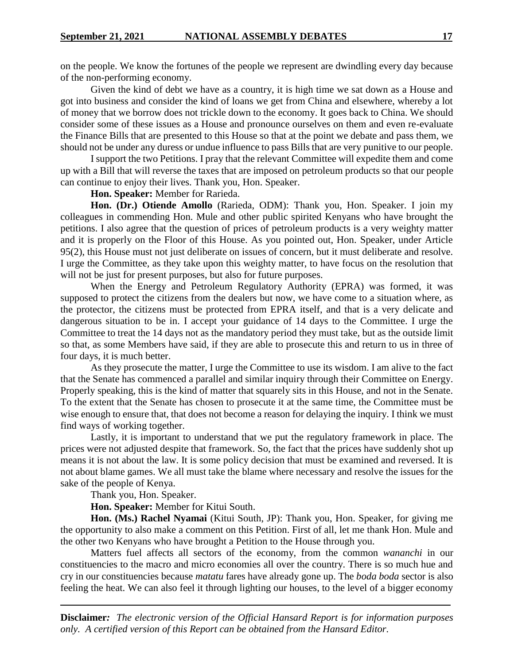on the people. We know the fortunes of the people we represent are dwindling every day because of the non-performing economy.

Given the kind of debt we have as a country, it is high time we sat down as a House and got into business and consider the kind of loans we get from China and elsewhere, whereby a lot of money that we borrow does not trickle down to the economy. It goes back to China. We should consider some of these issues as a House and pronounce ourselves on them and even re-evaluate the Finance Bills that are presented to this House so that at the point we debate and pass them, we should not be under any duress or undue influence to pass Bills that are very punitive to our people.

I support the two Petitions. I pray that the relevant Committee will expedite them and come up with a Bill that will reverse the taxes that are imposed on petroleum products so that our people can continue to enjoy their lives. Thank you, Hon. Speaker.

**Hon. Speaker:** Member for Rarieda.

**Hon. (Dr.) Otiende Amollo** (Rarieda, ODM): Thank you, Hon. Speaker. I join my colleagues in commending Hon. Mule and other public spirited Kenyans who have brought the petitions. I also agree that the question of prices of petroleum products is a very weighty matter and it is properly on the Floor of this House. As you pointed out, Hon. Speaker, under Article 95(2), this House must not just deliberate on issues of concern, but it must deliberate and resolve. I urge the Committee, as they take upon this weighty matter, to have focus on the resolution that will not be just for present purposes, but also for future purposes.

When the Energy and Petroleum Regulatory Authority (EPRA) was formed, it was supposed to protect the citizens from the dealers but now, we have come to a situation where, as the protector, the citizens must be protected from EPRA itself, and that is a very delicate and dangerous situation to be in. I accept your guidance of 14 days to the Committee. I urge the Committee to treat the 14 days not as the mandatory period they must take, but as the outside limit so that, as some Members have said, if they are able to prosecute this and return to us in three of four days, it is much better.

As they prosecute the matter, I urge the Committee to use its wisdom. I am alive to the fact that the Senate has commenced a parallel and similar inquiry through their Committee on Energy. Properly speaking, this is the kind of matter that squarely sits in this House, and not in the Senate. To the extent that the Senate has chosen to prosecute it at the same time, the Committee must be wise enough to ensure that, that does not become a reason for delaying the inquiry. I think we must find ways of working together.

Lastly, it is important to understand that we put the regulatory framework in place. The prices were not adjusted despite that framework. So, the fact that the prices have suddenly shot up means it is not about the law. It is some policy decision that must be examined and reversed. It is not about blame games. We all must take the blame where necessary and resolve the issues for the sake of the people of Kenya.

Thank you, Hon. Speaker.

**Hon. Speaker:** Member for Kitui South.

**Hon. (Ms.) Rachel Nyamai** (Kitui South, JP): Thank you, Hon. Speaker, for giving me the opportunity to also make a comment on this Petition. First of all, let me thank Hon. Mule and the other two Kenyans who have brought a Petition to the House through you.

Matters fuel affects all sectors of the economy, from the common *wananchi* in our constituencies to the macro and micro economies all over the country. There is so much hue and cry in our constituencies because *matatu* fares have already gone up. The *boda boda* sector is also feeling the heat. We can also feel it through lighting our houses, to the level of a bigger economy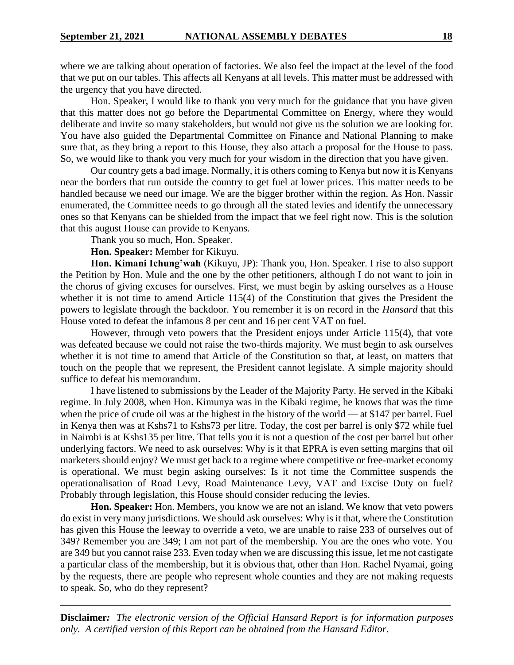where we are talking about operation of factories. We also feel the impact at the level of the food that we put on our tables. This affects all Kenyans at all levels. This matter must be addressed with the urgency that you have directed.

Hon. Speaker, I would like to thank you very much for the guidance that you have given that this matter does not go before the Departmental Committee on Energy, where they would deliberate and invite so many stakeholders, but would not give us the solution we are looking for. You have also guided the Departmental Committee on Finance and National Planning to make sure that, as they bring a report to this House, they also attach a proposal for the House to pass. So, we would like to thank you very much for your wisdom in the direction that you have given.

Our country gets a bad image. Normally, it is others coming to Kenya but now it is Kenyans near the borders that run outside the country to get fuel at lower prices. This matter needs to be handled because we need our image. We are the bigger brother within the region. As Hon. Nassir enumerated, the Committee needs to go through all the stated levies and identify the unnecessary ones so that Kenyans can be shielded from the impact that we feel right now. This is the solution that this august House can provide to Kenyans.

Thank you so much, Hon. Speaker.

**Hon. Speaker:** Member for Kikuyu.

**Hon. Kimani Ichung'wah** (Kikuyu, JP): Thank you, Hon. Speaker. I rise to also support the Petition by Hon. Mule and the one by the other petitioners, although I do not want to join in the chorus of giving excuses for ourselves. First, we must begin by asking ourselves as a House whether it is not time to amend Article 115(4) of the Constitution that gives the President the powers to legislate through the backdoor. You remember it is on record in the *Hansard* that this House voted to defeat the infamous 8 per cent and 16 per cent VAT on fuel.

However, through veto powers that the President enjoys under Article 115(4), that vote was defeated because we could not raise the two-thirds majority. We must begin to ask ourselves whether it is not time to amend that Article of the Constitution so that, at least, on matters that touch on the people that we represent, the President cannot legislate. A simple majority should suffice to defeat his memorandum.

I have listened to submissions by the Leader of the Majority Party. He served in the Kibaki regime. In July 2008, when Hon. Kimunya was in the Kibaki regime, he knows that was the time when the price of crude oil was at the highest in the history of the world — at \$147 per barrel. Fuel in Kenya then was at Kshs71 to Kshs73 per litre. Today, the cost per barrel is only \$72 while fuel in Nairobi is at Kshs135 per litre. That tells you it is not a question of the cost per barrel but other underlying factors. We need to ask ourselves: Why is it that EPRA is even setting margins that oil marketers should enjoy? We must get back to a regime where competitive or free-market economy is operational. We must begin asking ourselves: Is it not time the Committee suspends the operationalisation of Road Levy, Road Maintenance Levy, VAT and Excise Duty on fuel? Probably through legislation, this House should consider reducing the levies.

**Hon. Speaker:** Hon. Members, you know we are not an island. We know that veto powers do exist in very many jurisdictions. We should ask ourselves: Why is it that, where the Constitution has given this House the leeway to override a veto, we are unable to raise 233 of ourselves out of 349? Remember you are 349; I am not part of the membership. You are the ones who vote. You are 349 but you cannot raise 233. Even today when we are discussing this issue, let me not castigate a particular class of the membership, but it is obvious that, other than Hon. Rachel Nyamai, going by the requests, there are people who represent whole counties and they are not making requests to speak. So, who do they represent?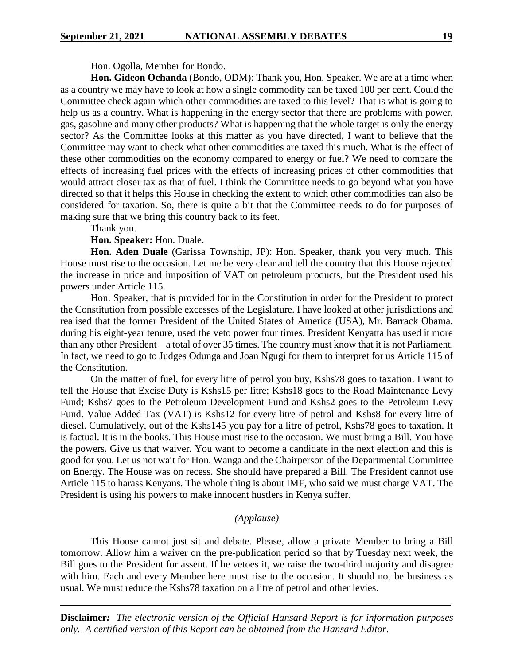Hon. Ogolla, Member for Bondo.

**Hon. Gideon Ochanda** (Bondo, ODM): Thank you, Hon. Speaker. We are at a time when as a country we may have to look at how a single commodity can be taxed 100 per cent. Could the Committee check again which other commodities are taxed to this level? That is what is going to help us as a country. What is happening in the energy sector that there are problems with power, gas, gasoline and many other products? What is happening that the whole target is only the energy sector? As the Committee looks at this matter as you have directed, I want to believe that the Committee may want to check what other commodities are taxed this much. What is the effect of these other commodities on the economy compared to energy or fuel? We need to compare the effects of increasing fuel prices with the effects of increasing prices of other commodities that would attract closer tax as that of fuel. I think the Committee needs to go beyond what you have directed so that it helps this House in checking the extent to which other commodities can also be considered for taxation. So, there is quite a bit that the Committee needs to do for purposes of making sure that we bring this country back to its feet.

Thank you.

### **Hon. Speaker:** Hon. Duale.

**Hon. Aden Duale** (Garissa Township, JP): Hon. Speaker, thank you very much. This House must rise to the occasion. Let me be very clear and tell the country that this House rejected the increase in price and imposition of VAT on petroleum products, but the President used his powers under Article 115.

Hon. Speaker, that is provided for in the Constitution in order for the President to protect the Constitution from possible excesses of the Legislature. I have looked at other jurisdictions and realised that the former President of the United States of America (USA), Mr. Barrack Obama, during his eight-year tenure, used the veto power four times. President Kenyatta has used it more than any other President – a total of over 35 times. The country must know that it is not Parliament. In fact, we need to go to Judges Odunga and Joan Ngugi for them to interpret for us Article 115 of the Constitution.

On the matter of fuel, for every litre of petrol you buy, Kshs78 goes to taxation. I want to tell the House that Excise Duty is Kshs15 per litre; Kshs18 goes to the Road Maintenance Levy Fund; Kshs7 goes to the Petroleum Development Fund and Kshs2 goes to the Petroleum Levy Fund. Value Added Tax (VAT) is Kshs12 for every litre of petrol and Kshs8 for every litre of diesel. Cumulatively, out of the Kshs145 you pay for a litre of petrol, Kshs78 goes to taxation. It is factual. It is in the books. This House must rise to the occasion. We must bring a Bill. You have the powers. Give us that waiver. You want to become a candidate in the next election and this is good for you. Let us not wait for Hon. Wanga and the Chairperson of the Departmental Committee on Energy. The House was on recess. She should have prepared a Bill. The President cannot use Article 115 to harass Kenyans. The whole thing is about IMF, who said we must charge VAT. The President is using his powers to make innocent hustlers in Kenya suffer.

# *(Applause)*

This House cannot just sit and debate. Please, allow a private Member to bring a Bill tomorrow. Allow him a waiver on the pre-publication period so that by Tuesday next week, the Bill goes to the President for assent. If he vetoes it, we raise the two-third majority and disagree with him. Each and every Member here must rise to the occasion. It should not be business as usual. We must reduce the Kshs78 taxation on a litre of petrol and other levies.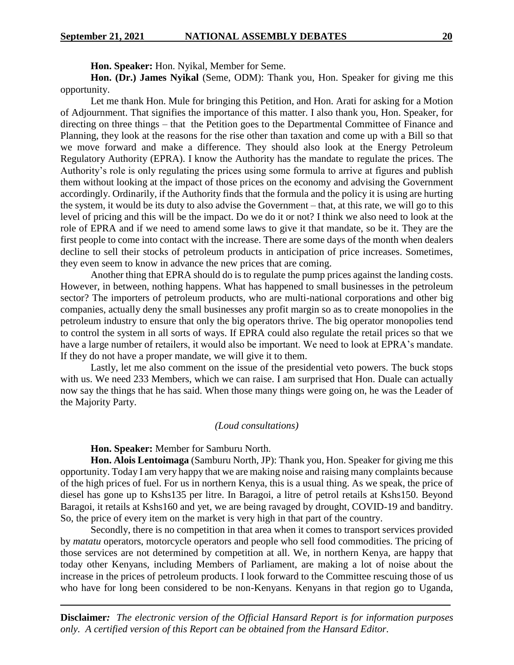**Hon. Speaker:** Hon. Nyikal, Member for Seme.

**Hon. (Dr.) James Nyikal** (Seme, ODM): Thank you, Hon. Speaker for giving me this opportunity.

Let me thank Hon. Mule for bringing this Petition, and Hon. Arati for asking for a Motion of Adjournment. That signifies the importance of this matter. I also thank you, Hon. Speaker, for directing on three things – that the Petition goes to the Departmental Committee of Finance and Planning, they look at the reasons for the rise other than taxation and come up with a Bill so that we move forward and make a difference. They should also look at the Energy Petroleum Regulatory Authority (EPRA). I know the Authority has the mandate to regulate the prices. The Authority's role is only regulating the prices using some formula to arrive at figures and publish them without looking at the impact of those prices on the economy and advising the Government accordingly. Ordinarily, if the Authority finds that the formula and the policy it is using are hurting the system, it would be its duty to also advise the Government – that, at this rate, we will go to this level of pricing and this will be the impact. Do we do it or not? I think we also need to look at the role of EPRA and if we need to amend some laws to give it that mandate, so be it. They are the first people to come into contact with the increase. There are some days of the month when dealers decline to sell their stocks of petroleum products in anticipation of price increases. Sometimes, they even seem to know in advance the new prices that are coming.

Another thing that EPRA should do is to regulate the pump prices against the landing costs. However, in between, nothing happens. What has happened to small businesses in the petroleum sector? The importers of petroleum products, who are multi-national corporations and other big companies, actually deny the small businesses any profit margin so as to create monopolies in the petroleum industry to ensure that only the big operators thrive. The big operator monopolies tend to control the system in all sorts of ways. If EPRA could also regulate the retail prices so that we have a large number of retailers, it would also be important. We need to look at EPRA's mandate. If they do not have a proper mandate, we will give it to them.

Lastly, let me also comment on the issue of the presidential veto powers. The buck stops with us. We need 233 Members, which we can raise. I am surprised that Hon. Duale can actually now say the things that he has said. When those many things were going on, he was the Leader of the Majority Party.

### *(Loud consultations)*

**Hon. Speaker:** Member for Samburu North.

**Hon. Alois Lentoimaga** (Samburu North, JP): Thank you, Hon. Speaker for giving me this opportunity. Today I am very happy that we are making noise and raising many complaints because of the high prices of fuel. For us in northern Kenya, this is a usual thing. As we speak, the price of diesel has gone up to Kshs135 per litre. In Baragoi, a litre of petrol retails at Kshs150. Beyond Baragoi, it retails at Kshs160 and yet, we are being ravaged by drought, COVID-19 and banditry. So, the price of every item on the market is very high in that part of the country.

Secondly, there is no competition in that area when it comes to transport services provided by *matatu* operators, motorcycle operators and people who sell food commodities. The pricing of those services are not determined by competition at all. We, in northern Kenya, are happy that today other Kenyans, including Members of Parliament, are making a lot of noise about the increase in the prices of petroleum products. I look forward to the Committee rescuing those of us who have for long been considered to be non-Kenyans. Kenyans in that region go to Uganda,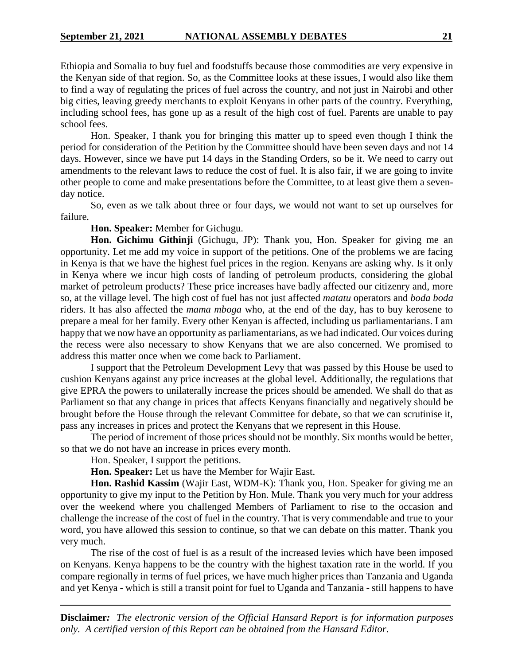Ethiopia and Somalia to buy fuel and foodstuffs because those commodities are very expensive in the Kenyan side of that region. So, as the Committee looks at these issues, I would also like them to find a way of regulating the prices of fuel across the country, and not just in Nairobi and other big cities, leaving greedy merchants to exploit Kenyans in other parts of the country. Everything, including school fees, has gone up as a result of the high cost of fuel. Parents are unable to pay school fees.

Hon. Speaker, I thank you for bringing this matter up to speed even though I think the period for consideration of the Petition by the Committee should have been seven days and not 14 days. However, since we have put 14 days in the Standing Orders, so be it. We need to carry out amendments to the relevant laws to reduce the cost of fuel. It is also fair, if we are going to invite other people to come and make presentations before the Committee, to at least give them a sevenday notice.

So, even as we talk about three or four days, we would not want to set up ourselves for failure.

# **Hon. Speaker:** Member for Gichugu.

**Hon. Gichimu Githinji** (Gichugu, JP): Thank you, Hon. Speaker for giving me an opportunity. Let me add my voice in support of the petitions. One of the problems we are facing in Kenya is that we have the highest fuel prices in the region. Kenyans are asking why. Is it only in Kenya where we incur high costs of landing of petroleum products, considering the global market of petroleum products? These price increases have badly affected our citizenry and, more so, at the village level. The high cost of fuel has not just affected *matatu* operators and *boda boda* riders. It has also affected the *mama mboga* who, at the end of the day, has to buy kerosene to prepare a meal for her family. Every other Kenyan is affected, including us parliamentarians. I am happy that we now have an opportunity as parliamentarians, as we had indicated. Our voices during the recess were also necessary to show Kenyans that we are also concerned. We promised to address this matter once when we come back to Parliament.

I support that the Petroleum Development Levy that was passed by this House be used to cushion Kenyans against any price increases at the global level. Additionally, the regulations that give EPRA the powers to unilaterally increase the prices should be amended. We shall do that as Parliament so that any change in prices that affects Kenyans financially and negatively should be brought before the House through the relevant Committee for debate, so that we can scrutinise it, pass any increases in prices and protect the Kenyans that we represent in this House.

The period of increment of those prices should not be monthly. Six months would be better, so that we do not have an increase in prices every month.

Hon. Speaker, I support the petitions.

**Hon. Speaker:** Let us have the Member for Wajir East.

**Hon. Rashid Kassim** (Wajir East, WDM-K): Thank you, Hon. Speaker for giving me an opportunity to give my input to the Petition by Hon. Mule. Thank you very much for your address over the weekend where you challenged Members of Parliament to rise to the occasion and challenge the increase of the cost of fuel in the country. That is very commendable and true to your word, you have allowed this session to continue, so that we can debate on this matter. Thank you very much.

The rise of the cost of fuel is as a result of the increased levies which have been imposed on Kenyans. Kenya happens to be the country with the highest taxation rate in the world. If you compare regionally in terms of fuel prices, we have much higher prices than Tanzania and Uganda and yet Kenya - which is still a transit point for fuel to Uganda and Tanzania - still happens to have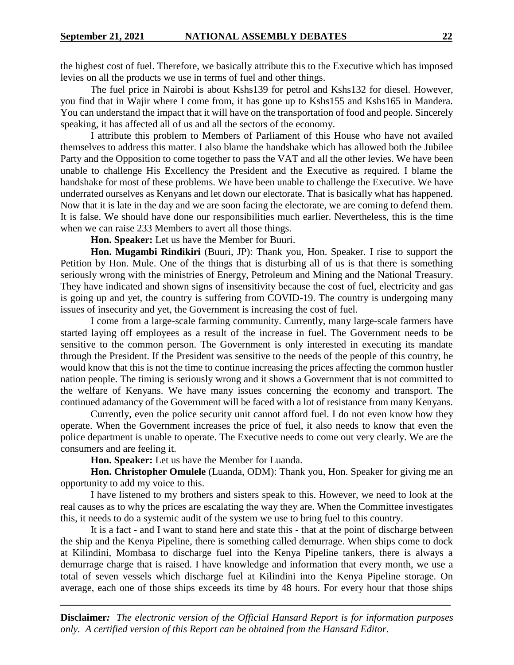the highest cost of fuel. Therefore, we basically attribute this to the Executive which has imposed levies on all the products we use in terms of fuel and other things.

The fuel price in Nairobi is about Kshs139 for petrol and Kshs132 for diesel. However, you find that in Wajir where I come from, it has gone up to Kshs155 and Kshs165 in Mandera. You can understand the impact that it will have on the transportation of food and people. Sincerely speaking, it has affected all of us and all the sectors of the economy.

I attribute this problem to Members of Parliament of this House who have not availed themselves to address this matter. I also blame the handshake which has allowed both the Jubilee Party and the Opposition to come together to pass the VAT and all the other levies. We have been unable to challenge His Excellency the President and the Executive as required. I blame the handshake for most of these problems. We have been unable to challenge the Executive. We have underrated ourselves as Kenyans and let down our electorate. That is basically what has happened. Now that it is late in the day and we are soon facing the electorate, we are coming to defend them. It is false. We should have done our responsibilities much earlier. Nevertheless, this is the time when we can raise 233 Members to avert all those things.

**Hon. Speaker:** Let us have the Member for Buuri.

**Hon. Mugambi Rindikiri** (Buuri, JP): Thank you, Hon. Speaker. I rise to support the Petition by Hon. Mule. One of the things that is disturbing all of us is that there is something seriously wrong with the ministries of Energy, Petroleum and Mining and the National Treasury. They have indicated and shown signs of insensitivity because the cost of fuel, electricity and gas is going up and yet, the country is suffering from COVID-19. The country is undergoing many issues of insecurity and yet, the Government is increasing the cost of fuel.

I come from a large-scale farming community. Currently, many large-scale farmers have started laying off employees as a result of the increase in fuel. The Government needs to be sensitive to the common person. The Government is only interested in executing its mandate through the President. If the President was sensitive to the needs of the people of this country, he would know that this is not the time to continue increasing the prices affecting the common hustler nation people. The timing is seriously wrong and it shows a Government that is not committed to the welfare of Kenyans. We have many issues concerning the economy and transport. The continued adamancy of the Government will be faced with a lot of resistance from many Kenyans.

Currently, even the police security unit cannot afford fuel. I do not even know how they operate. When the Government increases the price of fuel, it also needs to know that even the police department is unable to operate. The Executive needs to come out very clearly. We are the consumers and are feeling it.

**Hon. Speaker:** Let us have the Member for Luanda.

**Hon. Christopher Omulele** (Luanda, ODM): Thank you, Hon. Speaker for giving me an opportunity to add my voice to this.

I have listened to my brothers and sisters speak to this. However, we need to look at the real causes as to why the prices are escalating the way they are. When the Committee investigates this, it needs to do a systemic audit of the system we use to bring fuel to this country.

It is a fact - and I want to stand here and state this - that at the point of discharge between the ship and the Kenya Pipeline, there is something called demurrage. When ships come to dock at Kilindini, Mombasa to discharge fuel into the Kenya Pipeline tankers, there is always a demurrage charge that is raised. I have knowledge and information that every month, we use a total of seven vessels which discharge fuel at Kilindini into the Kenya Pipeline storage. On average, each one of those ships exceeds its time by 48 hours. For every hour that those ships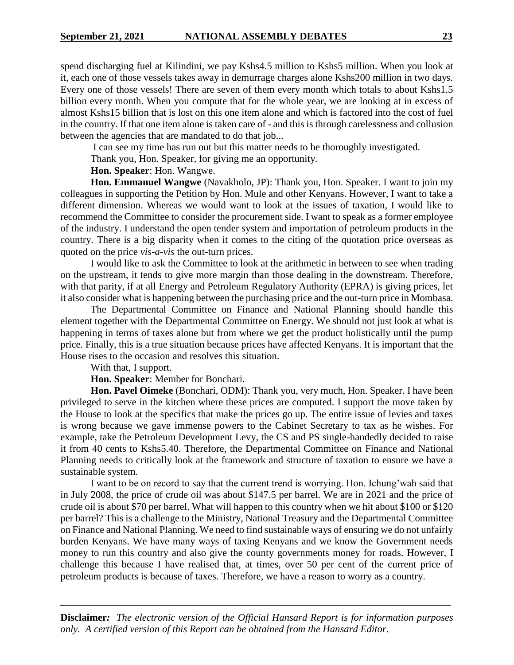spend discharging fuel at Kilindini, we pay Kshs4.5 million to Kshs5 million. When you look at it, each one of those vessels takes away in demurrage charges alone Kshs200 million in two days. Every one of those vessels! There are seven of them every month which totals to about Kshs1.5 billion every month. When you compute that for the whole year, we are looking at in excess of almost Kshs15 billion that is lost on this one item alone and which is factored into the cost of fuel in the country. If that one item alone is taken care of - and this is through carelessness and collusion between the agencies that are mandated to do that job...

I can see my time has run out but this matter needs to be thoroughly investigated.

Thank you, Hon. Speaker, for giving me an opportunity.

# **Hon. Speaker**: Hon. Wangwe.

**Hon. Emmanuel Wangwe** (Navakholo, JP): Thank you, Hon. Speaker. I want to join my colleagues in supporting the Petition by Hon. Mule and other Kenyans. However, I want to take a different dimension. Whereas we would want to look at the issues of taxation, I would like to recommend the Committee to consider the procurement side. I want to speak as a former employee of the industry. I understand the open tender system and importation of petroleum products in the country. There is a big disparity when it comes to the citing of the quotation price overseas as quoted on the price *vis-a-vis* the out-turn prices.

I would like to ask the Committee to look at the arithmetic in between to see when trading on the upstream, it tends to give more margin than those dealing in the downstream. Therefore, with that parity, if at all Energy and Petroleum Regulatory Authority (EPRA) is giving prices, let it also consider what is happening between the purchasing price and the out-turn price in Mombasa.

The Departmental Committee on Finance and National Planning should handle this element together with the Departmental Committee on Energy. We should not just look at what is happening in terms of taxes alone but from where we get the product holistically until the pump price. Finally, this is a true situation because prices have affected Kenyans. It is important that the House rises to the occasion and resolves this situation.

With that, I support.

**Hon. Speaker**: Member for Bonchari.

**Hon. Pavel Oimeke** (Bonchari, ODM): Thank you, very much, Hon. Speaker. I have been privileged to serve in the kitchen where these prices are computed. I support the move taken by the House to look at the specifics that make the prices go up. The entire issue of levies and taxes is wrong because we gave immense powers to the Cabinet Secretary to tax as he wishes. For example, take the Petroleum Development Levy, the CS and PS single-handedly decided to raise it from 40 cents to Kshs5.40. Therefore, the Departmental Committee on Finance and National Planning needs to critically look at the framework and structure of taxation to ensure we have a sustainable system.

I want to be on record to say that the current trend is worrying. Hon. Ichung'wah said that in July 2008, the price of crude oil was about \$147.5 per barrel. We are in 2021 and the price of crude oil is about \$70 per barrel. What will happen to this country when we hit about \$100 or \$120 per barrel? This is a challenge to the Ministry, National Treasury and the Departmental Committee on Finance and National Planning. We need to find sustainable ways of ensuring we do not unfairly burden Kenyans. We have many ways of taxing Kenyans and we know the Government needs money to run this country and also give the county governments money for roads. However, I challenge this because I have realised that, at times, over 50 per cent of the current price of petroleum products is because of taxes. Therefore, we have a reason to worry as a country.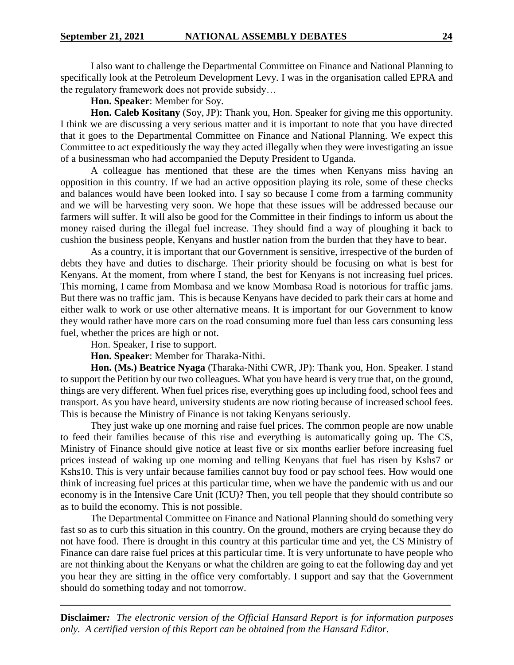I also want to challenge the Departmental Committee on Finance and National Planning to specifically look at the Petroleum Development Levy. I was in the organisation called EPRA and the regulatory framework does not provide subsidy…

**Hon. Speaker**: Member for Soy.

**Hon. Caleb Kositany** (Soy, JP): Thank you, Hon. Speaker for giving me this opportunity. I think we are discussing a very serious matter and it is important to note that you have directed that it goes to the Departmental Committee on Finance and National Planning. We expect this Committee to act expeditiously the way they acted illegally when they were investigating an issue of a businessman who had accompanied the Deputy President to Uganda.

A colleague has mentioned that these are the times when Kenyans miss having an opposition in this country. If we had an active opposition playing its role, some of these checks and balances would have been looked into. I say so because I come from a farming community and we will be harvesting very soon. We hope that these issues will be addressed because our farmers will suffer. It will also be good for the Committee in their findings to inform us about the money raised during the illegal fuel increase. They should find a way of ploughing it back to cushion the business people, Kenyans and hustler nation from the burden that they have to bear.

As a country, it is important that our Government is sensitive, irrespective of the burden of debts they have and duties to discharge. Their priority should be focusing on what is best for Kenyans. At the moment, from where I stand, the best for Kenyans is not increasing fuel prices. This morning, I came from Mombasa and we know Mombasa Road is notorious for traffic jams. But there was no traffic jam. This is because Kenyans have decided to park their cars at home and either walk to work or use other alternative means. It is important for our Government to know they would rather have more cars on the road consuming more fuel than less cars consuming less fuel, whether the prices are high or not.

Hon. Speaker, I rise to support.

**Hon. Speaker**: Member for Tharaka-Nithi.

**Hon. (Ms.) Beatrice Nyaga** (Tharaka-Nithi CWR, JP): Thank you, Hon. Speaker. I stand to support the Petition by our two colleagues. What you have heard is very true that, on the ground, things are very different. When fuel prices rise, everything goes up including food, school fees and transport. As you have heard, university students are now rioting because of increased school fees. This is because the Ministry of Finance is not taking Kenyans seriously.

They just wake up one morning and raise fuel prices. The common people are now unable to feed their families because of this rise and everything is automatically going up. The CS, Ministry of Finance should give notice at least five or six months earlier before increasing fuel prices instead of waking up one morning and telling Kenyans that fuel has risen by Kshs7 or Kshs10. This is very unfair because families cannot buy food or pay school fees. How would one think of increasing fuel prices at this particular time, when we have the pandemic with us and our economy is in the Intensive Care Unit (ICU)? Then, you tell people that they should contribute so as to build the economy. This is not possible.

The Departmental Committee on Finance and National Planning should do something very fast so as to curb this situation in this country. On the ground, mothers are crying because they do not have food. There is drought in this country at this particular time and yet, the CS Ministry of Finance can dare raise fuel prices at this particular time. It is very unfortunate to have people who are not thinking about the Kenyans or what the children are going to eat the following day and yet you hear they are sitting in the office very comfortably. I support and say that the Government should do something today and not tomorrow.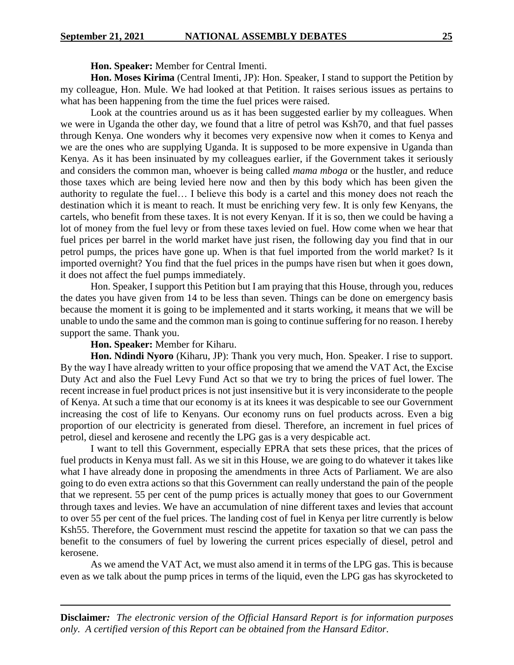**Hon. Speaker:** Member for Central Imenti.

**Hon. Moses Kirima** (Central Imenti, JP): Hon. Speaker, I stand to support the Petition by my colleague, Hon. Mule. We had looked at that Petition. It raises serious issues as pertains to what has been happening from the time the fuel prices were raised.

Look at the countries around us as it has been suggested earlier by my colleagues. When we were in Uganda the other day, we found that a litre of petrol was Ksh70, and that fuel passes through Kenya. One wonders why it becomes very expensive now when it comes to Kenya and we are the ones who are supplying Uganda. It is supposed to be more expensive in Uganda than Kenya. As it has been insinuated by my colleagues earlier, if the Government takes it seriously and considers the common man, whoever is being called *mama mboga* or the hustler, and reduce those taxes which are being levied here now and then by this body which has been given the authority to regulate the fuel… I believe this body is a cartel and this money does not reach the destination which it is meant to reach. It must be enriching very few. It is only few Kenyans, the cartels, who benefit from these taxes. It is not every Kenyan. If it is so, then we could be having a lot of money from the fuel levy or from these taxes levied on fuel. How come when we hear that fuel prices per barrel in the world market have just risen, the following day you find that in our petrol pumps, the prices have gone up. When is that fuel imported from the world market? Is it imported overnight? You find that the fuel prices in the pumps have risen but when it goes down, it does not affect the fuel pumps immediately.

Hon. Speaker, I support this Petition but I am praying that this House, through you, reduces the dates you have given from 14 to be less than seven. Things can be done on emergency basis because the moment it is going to be implemented and it starts working, it means that we will be unable to undo the same and the common man is going to continue suffering for no reason. I hereby support the same. Thank you.

### **Hon. Speaker:** Member for Kiharu.

**Hon. Ndindi Nyoro** (Kiharu, JP): Thank you very much, Hon. Speaker. I rise to support. By the way I have already written to your office proposing that we amend the VAT Act, the Excise Duty Act and also the Fuel Levy Fund Act so that we try to bring the prices of fuel lower. The recent increase in fuel product prices is not just insensitive but it is very inconsiderate to the people of Kenya. At such a time that our economy is at its knees it was despicable to see our Government increasing the cost of life to Kenyans. Our economy runs on fuel products across. Even a big proportion of our electricity is generated from diesel. Therefore, an increment in fuel prices of petrol, diesel and kerosene and recently the LPG gas is a very despicable act.

I want to tell this Government, especially EPRA that sets these prices, that the prices of fuel products in Kenya must fall. As we sit in this House, we are going to do whatever it takes like what I have already done in proposing the amendments in three Acts of Parliament. We are also going to do even extra actions so that this Government can really understand the pain of the people that we represent. 55 per cent of the pump prices is actually money that goes to our Government through taxes and levies. We have an accumulation of nine different taxes and levies that account to over 55 per cent of the fuel prices. The landing cost of fuel in Kenya per litre currently is below Ksh55. Therefore, the Government must rescind the appetite for taxation so that we can pass the benefit to the consumers of fuel by lowering the current prices especially of diesel, petrol and kerosene.

As we amend the VAT Act, we must also amend it in terms of the LPG gas. This is because even as we talk about the pump prices in terms of the liquid, even the LPG gas has skyrocketed to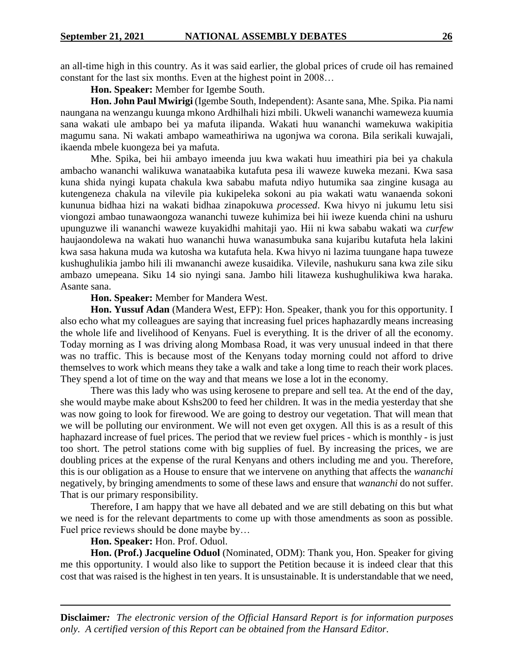an all-time high in this country. As it was said earlier, the global prices of crude oil has remained constant for the last six months. Even at the highest point in 2008…

**Hon. Speaker:** Member for Igembe South.

**Hon. John Paul Mwirigi** (Igembe South, Independent): Asante sana, Mhe. Spika. Pia nami naungana na wenzangu kuunga mkono Ardhilhali hizi mbili. Ukweli wananchi wameweza kuumia sana wakati ule ambapo bei ya mafuta ilipanda. Wakati huu wananchi wamekuwa wakipitia magumu sana. Ni wakati ambapo wameathiriwa na ugonjwa wa corona. Bila serikali kuwajali, ikaenda mbele kuongeza bei ya mafuta.

Mhe. Spika, bei hii ambayo imeenda juu kwa wakati huu imeathiri pia bei ya chakula ambacho wananchi walikuwa wanataabika kutafuta pesa ili waweze kuweka mezani. Kwa sasa kuna shida nyingi kupata chakula kwa sababu mafuta ndiyo hutumika saa zingine kusaga au kutengeneza chakula na vilevile pia kukipeleka sokoni au pia wakati watu wanaenda sokoni kununua bidhaa hizi na wakati bidhaa zinapokuwa *processed*. Kwa hivyo ni jukumu letu sisi viongozi ambao tunawaongoza wananchi tuweze kuhimiza bei hii iweze kuenda chini na ushuru upunguzwe ili wananchi waweze kuyakidhi mahitaji yao. Hii ni kwa sababu wakati wa *curfew* haujaondolewa na wakati huo wananchi huwa wanasumbuka sana kujaribu kutafuta hela lakini kwa sasa hakuna muda wa kutosha wa kutafuta hela. Kwa hivyo ni lazima tuungane hapa tuweze kushughulikia jambo hili ili mwananchi aweze kusaidika. Vilevile, nashukuru sana kwa zile siku ambazo umepeana. Siku 14 sio nyingi sana. Jambo hili litaweza kushughulikiwa kwa haraka. Asante sana.

#### **Hon. Speaker:** Member for Mandera West.

**Hon. Yussuf Adan** (Mandera West, EFP): Hon. Speaker, thank you for this opportunity. I also echo what my colleagues are saying that increasing fuel prices haphazardly means increasing the whole life and livelihood of Kenyans. Fuel is everything. It is the driver of all the economy. Today morning as I was driving along Mombasa Road, it was very unusual indeed in that there was no traffic. This is because most of the Kenyans today morning could not afford to drive themselves to work which means they take a walk and take a long time to reach their work places. They spend a lot of time on the way and that means we lose a lot in the economy.

There was this lady who was using kerosene to prepare and sell tea. At the end of the day, she would maybe make about Kshs200 to feed her children. It was in the media yesterday that she was now going to look for firewood. We are going to destroy our vegetation. That will mean that we will be polluting our environment. We will not even get oxygen. All this is as a result of this haphazard increase of fuel prices. The period that we review fuel prices - which is monthly - is just too short. The petrol stations come with big supplies of fuel. By increasing the prices, we are doubling prices at the expense of the rural Kenyans and others including me and you. Therefore, this is our obligation as a House to ensure that we intervene on anything that affects the *wananchi* negatively, by bringing amendments to some of these laws and ensure that *wananchi* do not suffer. That is our primary responsibility.

Therefore, I am happy that we have all debated and we are still debating on this but what we need is for the relevant departments to come up with those amendments as soon as possible. Fuel price reviews should be done maybe by…

# **Hon. Speaker:** Hon. Prof. Oduol.

**Hon. (Prof.) Jacqueline Oduol** (Nominated, ODM): Thank you, Hon. Speaker for giving me this opportunity. I would also like to support the Petition because it is indeed clear that this cost that was raised is the highest in ten years. It is unsustainable. It is understandable that we need,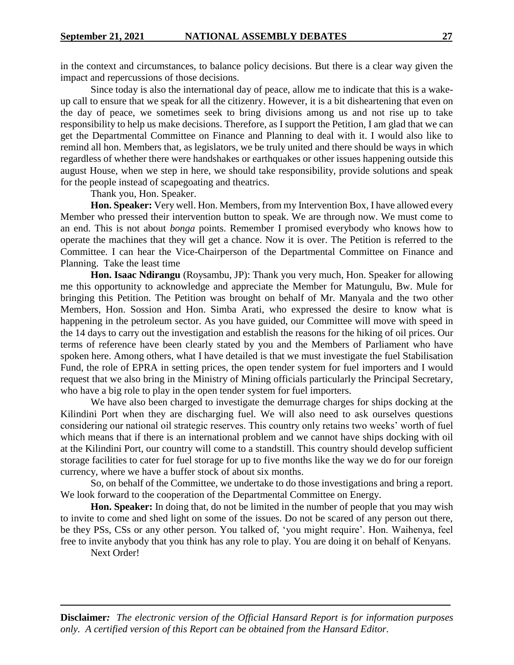in the context and circumstances, to balance policy decisions. But there is a clear way given the impact and repercussions of those decisions.

Since today is also the international day of peace, allow me to indicate that this is a wakeup call to ensure that we speak for all the citizenry. However, it is a bit disheartening that even on the day of peace, we sometimes seek to bring divisions among us and not rise up to take responsibility to help us make decisions. Therefore, as I support the Petition, I am glad that we can get the Departmental Committee on Finance and Planning to deal with it. I would also like to remind all hon. Members that, as legislators, we be truly united and there should be ways in which regardless of whether there were handshakes or earthquakes or other issues happening outside this august House, when we step in here, we should take responsibility, provide solutions and speak for the people instead of scapegoating and theatrics.

Thank you, Hon. Speaker.

**Hon. Speaker:** Very well. Hon. Members, from my Intervention Box, I have allowed every Member who pressed their intervention button to speak. We are through now. We must come to an end. This is not about *bonga* points. Remember I promised everybody who knows how to operate the machines that they will get a chance. Now it is over. The Petition is referred to the Committee. I can hear the Vice-Chairperson of the Departmental Committee on Finance and Planning. Take the least time

**Hon. Isaac Ndirangu** (Roysambu, JP): Thank you very much, Hon. Speaker for allowing me this opportunity to acknowledge and appreciate the Member for Matungulu, Bw. Mule for bringing this Petition. The Petition was brought on behalf of Mr. Manyala and the two other Members, Hon. Sossion and Hon. Simba Arati, who expressed the desire to know what is happening in the petroleum sector. As you have guided, our Committee will move with speed in the 14 days to carry out the investigation and establish the reasons for the hiking of oil prices. Our terms of reference have been clearly stated by you and the Members of Parliament who have spoken here. Among others, what I have detailed is that we must investigate the fuel Stabilisation Fund, the role of EPRA in setting prices, the open tender system for fuel importers and I would request that we also bring in the Ministry of Mining officials particularly the Principal Secretary, who have a big role to play in the open tender system for fuel importers.

We have also been charged to investigate the demurrage charges for ships docking at the Kilindini Port when they are discharging fuel. We will also need to ask ourselves questions considering our national oil strategic reserves. This country only retains two weeks' worth of fuel which means that if there is an international problem and we cannot have ships docking with oil at the Kilindini Port, our country will come to a standstill. This country should develop sufficient storage facilities to cater for fuel storage for up to five months like the way we do for our foreign currency, where we have a buffer stock of about six months.

So, on behalf of the Committee, we undertake to do those investigations and bring a report. We look forward to the cooperation of the Departmental Committee on Energy.

**Hon. Speaker:** In doing that, do not be limited in the number of people that you may wish to invite to come and shed light on some of the issues. Do not be scared of any person out there, be they PSs, CSs or any other person. You talked of, 'you might require'. Hon. Waihenya, feel free to invite anybody that you think has any role to play. You are doing it on behalf of Kenyans.

Next Order!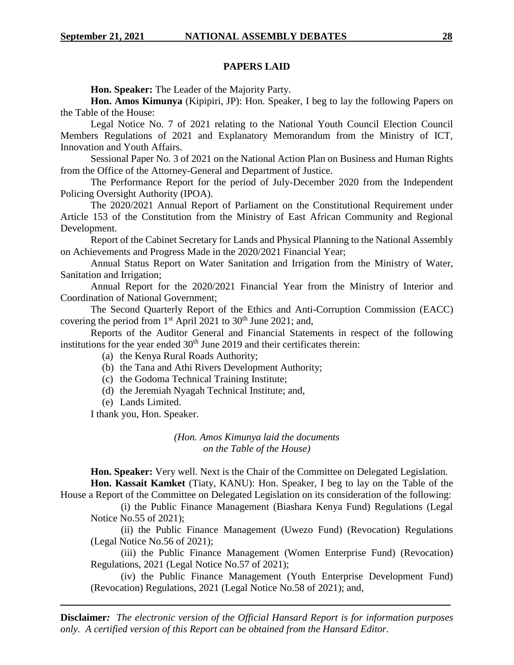# **PAPERS LAID**

**Hon. Speaker:** The Leader of the Majority Party.

**Hon. Amos Kimunya** (Kipipiri, JP): Hon. Speaker, I beg to lay the following Papers on the Table of the House:

Legal Notice No. 7 of 2021 relating to the National Youth Council Election Council Members Regulations of 2021 and Explanatory Memorandum from the Ministry of ICT, Innovation and Youth Affairs.

Sessional Paper No. 3 of 2021 on the National Action Plan on Business and Human Rights from the Office of the Attorney-General and Department of Justice.

The Performance Report for the period of July-December 2020 from the Independent Policing Oversight Authority (IPOA).

The 2020/2021 Annual Report of Parliament on the Constitutional Requirement under Article 153 of the Constitution from the Ministry of East African Community and Regional Development.

Report of the Cabinet Secretary for Lands and Physical Planning to the National Assembly on Achievements and Progress Made in the 2020/2021 Financial Year;

Annual Status Report on Water Sanitation and Irrigation from the Ministry of Water, Sanitation and Irrigation;

Annual Report for the 2020/2021 Financial Year from the Ministry of Interior and Coordination of National Government;

The Second Quarterly Report of the Ethics and Anti-Corruption Commission (EACC) covering the period from  $1<sup>st</sup>$  April 2021 to 30<sup>th</sup> June 2021; and,

Reports of the Auditor General and Financial Statements in respect of the following institutions for the year ended  $30<sup>th</sup>$  June 2019 and their certificates therein:

- (a) the Kenya Rural Roads Authority;
- (b) the Tana and Athi Rivers Development Authority;
- (c) the Godoma Technical Training Institute;
- (d) the Jeremiah Nyagah Technical Institute; and,
- (e) Lands Limited.

I thank you, Hon. Speaker.

*(Hon. Amos Kimunya laid the documents on the Table of the House)*

**Hon. Speaker:** Very well. Next is the Chair of the Committee on Delegated Legislation. **Hon. Kassait Kamket** (Tiaty, KANU): Hon. Speaker, I beg to lay on the Table of the

House a Report of the Committee on Delegated Legislation on its consideration of the following: (i) the Public Finance Management (Biashara Kenya Fund) Regulations (Legal

Notice No.55 of 2021);

(ii) the Public Finance Management (Uwezo Fund) (Revocation) Regulations (Legal Notice No.56 of 2021);

(iii) the Public Finance Management (Women Enterprise Fund) (Revocation) Regulations, 2021 (Legal Notice No.57 of 2021);

(iv) the Public Finance Management (Youth Enterprise Development Fund) (Revocation) Regulations, 2021 (Legal Notice No.58 of 2021); and,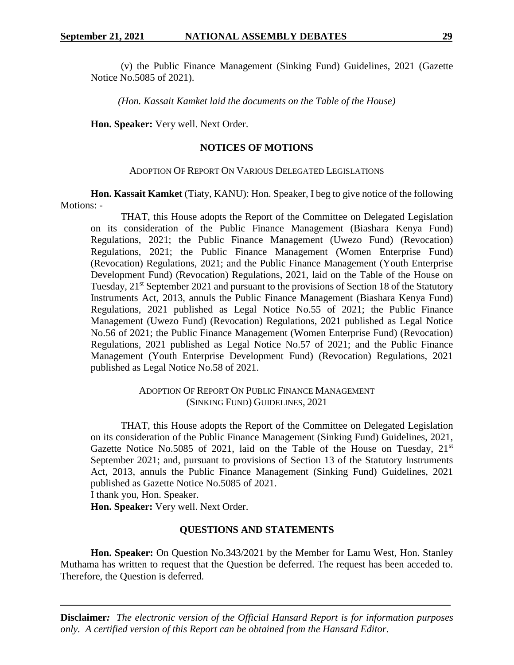(v) the Public Finance Management (Sinking Fund) Guidelines, 2021 (Gazette Notice No.5085 of 2021).

*(Hon. Kassait Kamket laid the documents on the Table of the House)*

**Hon. Speaker:** Very well. Next Order.

#### **NOTICES OF MOTIONS**

#### ADOPTION OF REPORT ON VARIOUS DELEGATED LEGISLATIONS

**Hon. Kassait Kamket** (Tiaty, KANU): Hon. Speaker, I beg to give notice of the following Motions: -

THAT, this House adopts the Report of the Committee on Delegated Legislation on its consideration of the Public Finance Management (Biashara Kenya Fund) Regulations, 2021; the Public Finance Management (Uwezo Fund) (Revocation) Regulations, 2021; the Public Finance Management (Women Enterprise Fund) (Revocation) Regulations, 2021; and the Public Finance Management (Youth Enterprise Development Fund) (Revocation) Regulations, 2021, laid on the Table of the House on Tuesday, 21<sup>st</sup> September 2021 and pursuant to the provisions of Section 18 of the Statutory Instruments Act, 2013, annuls the Public Finance Management (Biashara Kenya Fund) Regulations, 2021 published as Legal Notice No.55 of 2021; the Public Finance Management (Uwezo Fund) (Revocation) Regulations, 2021 published as Legal Notice No.56 of 2021; the Public Finance Management (Women Enterprise Fund) (Revocation) Regulations, 2021 published as Legal Notice No.57 of 2021; and the Public Finance Management (Youth Enterprise Development Fund) (Revocation) Regulations, 2021 published as Legal Notice No.58 of 2021.

> ADOPTION OF REPORT ON PUBLIC FINANCE MANAGEMENT (SINKING FUND) GUIDELINES, 2021

THAT, this House adopts the Report of the Committee on Delegated Legislation on its consideration of the Public Finance Management (Sinking Fund) Guidelines, 2021, Gazette Notice No.5085 of 2021, laid on the Table of the House on Tuesday,  $21^{st}$ September 2021; and, pursuant to provisions of Section 13 of the Statutory Instruments Act, 2013, annuls the Public Finance Management (Sinking Fund) Guidelines, 2021 published as Gazette Notice No.5085 of 2021.

I thank you, Hon. Speaker.

**Hon. Speaker:** Very well. Next Order.

#### **QUESTIONS AND STATEMENTS**

**Hon. Speaker:** On Question No.343/2021 by the Member for Lamu West, Hon. Stanley Muthama has written to request that the Question be deferred. The request has been acceded to. Therefore, the Question is deferred.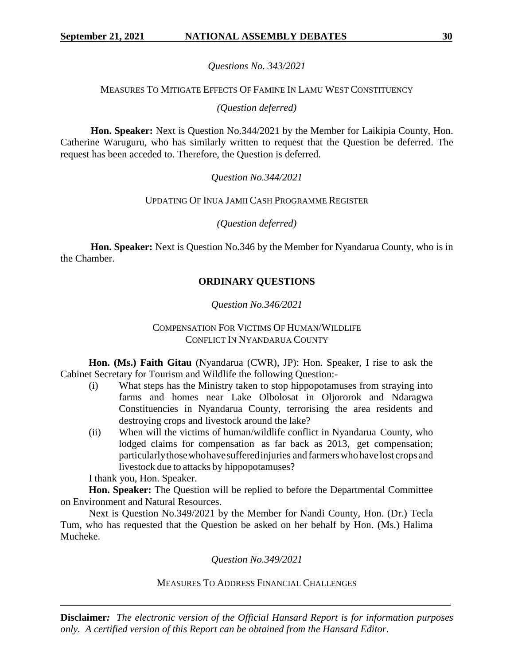# *Questions No. 343/2021*

# MEASURES TO MITIGATE EFFECTS OF FAMINE IN LAMU WEST CONSTITUENCY

*(Question deferred)*

**Hon. Speaker:** Next is Question No.344/2021 by the Member for Laikipia County, Hon. Catherine Waruguru, who has similarly written to request that the Question be deferred. The request has been acceded to. Therefore, the Question is deferred.

*Question No.344/2021*

# UPDATING OF INUA JAMII CASH PROGRAMME REGISTER

*(Question deferred)*

**Hon. Speaker:** Next is Question No.346 by the Member for Nyandarua County, who is in the Chamber.

# **ORDINARY QUESTIONS**

# *Question No.346/2021*

# COMPENSATION FOR VICTIMS OF HUMAN/WILDLIFE CONFLICT IN NYANDARUA COUNTY

**Hon. (Ms.) Faith Gitau** (Nyandarua (CWR), JP): Hon. Speaker, I rise to ask the Cabinet Secretary for Tourism and Wildlife the following Question:-

- (i) What steps has the Ministry taken to stop hippopotamuses from straying into farms and homes near Lake Olbolosat in Oljororok and Ndaragwa Constituencies in Nyandarua County, terrorising the area residents and destroying crops and livestock around the lake?
- (ii) When will the victims of human/wildlife conflict in Nyandarua County, who lodged claims for compensation as far back as 2013, get compensation; particularlythosewhohavesufferedinjuries and farmerswho have lost crops and livestock due to attacks by hippopotamuses?

I thank you, Hon. Speaker.

**Hon. Speaker:** The Question will be replied to before the Departmental Committee on Environment and Natural Resources.

Next is Question No.349/2021 by the Member for Nandi County, Hon. (Dr.) Tecla Tum, who has requested that the Question be asked on her behalf by Hon. (Ms.) Halima Mucheke.

*Question No.349/2021*

# MEASURES TO ADDRESS FINANCIAL CHALLENGES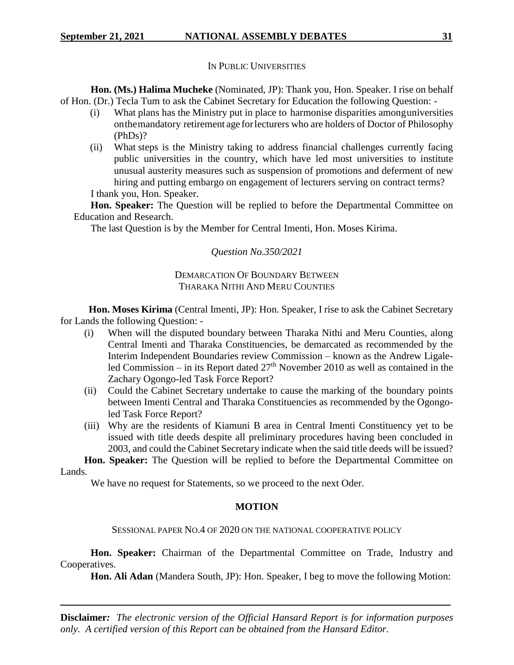# IN PUBLIC UNIVERSITIES

**Hon. (Ms.) Halima Mucheke** (Nominated, JP): Thank you, Hon. Speaker. I rise on behalf of Hon. (Dr.) Tecla Tum to ask the Cabinet Secretary for Education the following Question: -

- (i) What plans has the Ministry put in place to harmonise disparities amonguniversities onthemandatory retirement age for lecturers who are holders of Doctor of Philosophy (PhDs)?
- (ii) What steps is the Ministry taking to address financial challenges currently facing public universities in the country, which have led most universities to institute unusual austerity measures such as suspension of promotions and deferment of new hiring and putting embargo on engagement of lecturers serving on contract terms?

I thank you, Hon. Speaker.

**Hon. Speaker:** The Question will be replied to before the Departmental Committee on Education and Research.

The last Question is by the Member for Central Imenti, Hon. Moses Kirima.

# *Question No.350/2021*

# DEMARCATION OF BOUNDARY BETWEEN THARAKA NITHI AND MERU COUNTIES

**Hon. Moses Kirima** (Central Imenti, JP): Hon. Speaker, I rise to ask the Cabinet Secretary for Lands the following Question: -

- (i) When will the disputed boundary between Tharaka Nithi and Meru Counties, along Central Imenti and Tharaka Constituencies, be demarcated as recommended by the Interim Independent Boundaries review Commission – known as the Andrew Ligaleled Commission – in its Report dated  $27<sup>th</sup>$  November 2010 as well as contained in the Zachary Ogongo-led Task Force Report?
- (ii) Could the Cabinet Secretary undertake to cause the marking of the boundary points between Imenti Central and Tharaka Constituencies as recommended by the Ogongoled Task Force Report?
- (iii) Why are the residents of Kiamuni B area in Central Imenti Constituency yet to be issued with title deeds despite all preliminary procedures having been concluded in 2003, and could the Cabinet Secretary indicate when the said title deeds will be issued?

**Hon. Speaker:** The Question will be replied to before the Departmental Committee on Lands.

We have no request for Statements, so we proceed to the next Oder.

# **MOTION**

# SESSIONAL PAPER NO.4 OF 2020 ON THE NATIONAL COOPERATIVE POLICY

Hon. Speaker: Chairman of the Departmental Committee on Trade, Industry and Cooperatives.

**Hon. Ali Adan** (Mandera South, JP): Hon. Speaker, I beg to move the following Motion: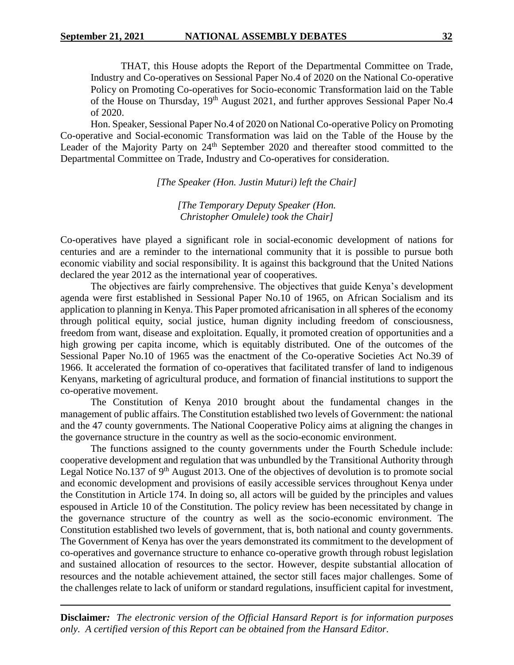THAT, this House adopts the Report of the Departmental Committee on Trade, Industry and Co-operatives on Sessional Paper No.4 of 2020 on the National Co-operative Policy on Promoting Co-operatives for Socio-economic Transformation laid on the Table of the House on Thursday, 19<sup>th</sup> August 2021, and further approves Sessional Paper No.4 of 2020.

Hon. Speaker, Sessional Paper No.4 of 2020 on National Co-operative Policy on Promoting Co-operative and Social-economic Transformation was laid on the Table of the House by the Leader of the Majority Party on 24<sup>th</sup> September 2020 and thereafter stood committed to the Departmental Committee on Trade, Industry and Co-operatives for consideration.

*[The Speaker (Hon. Justin Muturi) left the Chair]*

*[The Temporary Deputy Speaker (Hon. Christopher Omulele) took the Chair]*

Co-operatives have played a significant role in social-economic development of nations for centuries and are a reminder to the international community that it is possible to pursue both economic viability and social responsibility. It is against this background that the United Nations declared the year 2012 as the international year of cooperatives.

The objectives are fairly comprehensive. The objectives that guide Kenya's development agenda were first established in Sessional Paper No.10 of 1965, on African Socialism and its application to planning in Kenya. This Paper promoted africanisation in all spheres of the economy through political equity, social justice, human dignity including freedom of consciousness, freedom from want, disease and exploitation. Equally, it promoted creation of opportunities and a high growing per capita income, which is equitably distributed. One of the outcomes of the Sessional Paper No.10 of 1965 was the enactment of the Co-operative Societies Act No.39 of 1966. It accelerated the formation of co-operatives that facilitated transfer of land to indigenous Kenyans, marketing of agricultural produce, and formation of financial institutions to support the co-operative movement.

The Constitution of Kenya 2010 brought about the fundamental changes in the management of public affairs. The Constitution established two levels of Government: the national and the 47 county governments. The National Cooperative Policy aims at aligning the changes in the governance structure in the country as well as the socio-economic environment.

The functions assigned to the county governments under the Fourth Schedule include: cooperative development and regulation that was unbundled by the Transitional Authority through Legal Notice No.137 of 9<sup>th</sup> August 2013. One of the objectives of devolution is to promote social and economic development and provisions of easily accessible services throughout Kenya under the Constitution in Article 174. In doing so, all actors will be guided by the principles and values espoused in Article 10 of the Constitution. The policy review has been necessitated by change in the governance structure of the country as well as the socio-economic environment. The Constitution established two levels of government, that is, both national and county governments. The Government of Kenya has over the years demonstrated its commitment to the development of co-operatives and governance structure to enhance co-operative growth through robust legislation and sustained allocation of resources to the sector. However, despite substantial allocation of resources and the notable achievement attained, the sector still faces major challenges. Some of the challenges relate to lack of uniform or standard regulations, insufficient capital for investment,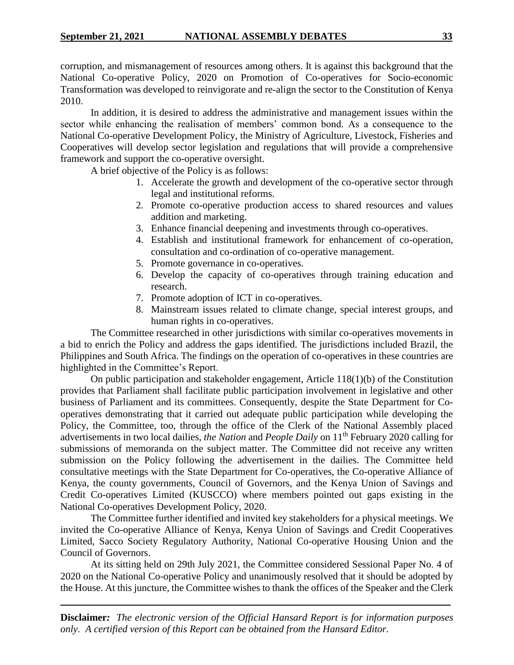corruption, and mismanagement of resources among others. It is against this background that the National Co-operative Policy, 2020 on Promotion of Co-operatives for Socio-economic Transformation was developed to reinvigorate and re-align the sector to the Constitution of Kenya 2010.

In addition, it is desired to address the administrative and management issues within the sector while enhancing the realisation of members' common bond. As a consequence to the National Co-operative Development Policy, the Ministry of Agriculture, Livestock, Fisheries and Cooperatives will develop sector legislation and regulations that will provide a comprehensive framework and support the co-operative oversight.

A brief objective of the Policy is as follows:

- 1. Accelerate the growth and development of the co-operative sector through legal and institutional reforms.
- 2. Promote co-operative production access to shared resources and values addition and marketing.
- 3. Enhance financial deepening and investments through co-operatives.
- 4. Establish and institutional framework for enhancement of co-operation, consultation and co-ordination of co-operative management.
- 5. Promote governance in co-operatives.
- 6. Develop the capacity of co-operatives through training education and research.
- 7. Promote adoption of ICT in co-operatives.
- 8. Mainstream issues related to climate change, special interest groups, and human rights in co-operatives.

The Committee researched in other jurisdictions with similar co-operatives movements in a bid to enrich the Policy and address the gaps identified. The jurisdictions included Brazil, the Philippines and South Africa. The findings on the operation of co-operatives in these countries are highlighted in the Committee's Report.

On public participation and stakeholder engagement, Article 118(1)(b) of the Constitution provides that Parliament shall facilitate public participation involvement in legislative and other business of Parliament and its committees. Consequently, despite the State Department for Cooperatives demonstrating that it carried out adequate public participation while developing the Policy, the Committee, too, through the office of the Clerk of the National Assembly placed advertisements in two local dailies, *the Nation* and *People Daily* on 11th February 2020 calling for submissions of memoranda on the subject matter. The Committee did not receive any written submission on the Policy following the advertisement in the dailies. The Committee held consultative meetings with the State Department for Co-operatives, the Co-operative Alliance of Kenya, the county governments, Council of Governors, and the Kenya Union of Savings and Credit Co-operatives Limited (KUSCCO) where members pointed out gaps existing in the National Co-operatives Development Policy, 2020.

The Committee further identified and invited key stakeholders for a physical meetings. We invited the Co-operative Alliance of Kenya, Kenya Union of Savings and Credit Cooperatives Limited, Sacco Society Regulatory Authority, National Co-operative Housing Union and the Council of Governors.

At its sitting held on 29th July 2021, the Committee considered Sessional Paper No. 4 of 2020 on the National Co-operative Policy and unanimously resolved that it should be adopted by the House. At this juncture, the Committee wishes to thank the offices of the Speaker and the Clerk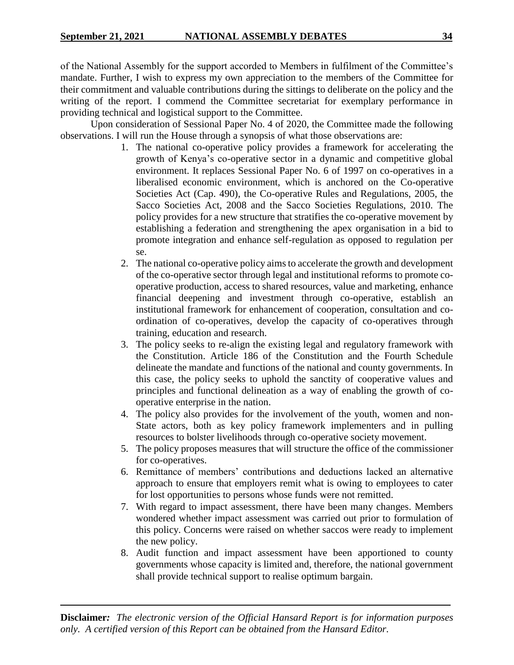of the National Assembly for the support accorded to Members in fulfilment of the Committee's mandate. Further, I wish to express my own appreciation to the members of the Committee for their commitment and valuable contributions during the sittings to deliberate on the policy and the writing of the report. I commend the Committee secretariat for exemplary performance in providing technical and logistical support to the Committee.

Upon consideration of Sessional Paper No. 4 of 2020, the Committee made the following observations. I will run the House through a synopsis of what those observations are:

- 1. The national co-operative policy provides a framework for accelerating the growth of Kenya's co-operative sector in a dynamic and competitive global environment. It replaces Sessional Paper No. 6 of 1997 on co-operatives in a liberalised economic environment, which is anchored on the Co-operative Societies Act (Cap. 490), the Co-operative Rules and Regulations, 2005, the Sacco Societies Act, 2008 and the Sacco Societies Regulations, 2010. The policy provides for a new structure that stratifies the co-operative movement by establishing a federation and strengthening the apex organisation in a bid to promote integration and enhance self-regulation as opposed to regulation per se.
- 2. The national co-operative policy aims to accelerate the growth and development of the co-operative sector through legal and institutional reforms to promote cooperative production, access to shared resources, value and marketing, enhance financial deepening and investment through co-operative, establish an institutional framework for enhancement of cooperation, consultation and coordination of co-operatives, develop the capacity of co-operatives through training, education and research.
- 3. The policy seeks to re-align the existing legal and regulatory framework with the Constitution. Article 186 of the Constitution and the Fourth Schedule delineate the mandate and functions of the national and county governments. In this case, the policy seeks to uphold the sanctity of cooperative values and principles and functional delineation as a way of enabling the growth of cooperative enterprise in the nation.
- 4. The policy also provides for the involvement of the youth, women and non-State actors, both as key policy framework implementers and in pulling resources to bolster livelihoods through co-operative society movement.
- 5. The policy proposes measures that will structure the office of the commissioner for co-operatives.
- 6. Remittance of members' contributions and deductions lacked an alternative approach to ensure that employers remit what is owing to employees to cater for lost opportunities to persons whose funds were not remitted.
- 7. With regard to impact assessment, there have been many changes. Members wondered whether impact assessment was carried out prior to formulation of this policy. Concerns were raised on whether saccos were ready to implement the new policy.
- 8. Audit function and impact assessment have been apportioned to county governments whose capacity is limited and, therefore, the national government shall provide technical support to realise optimum bargain.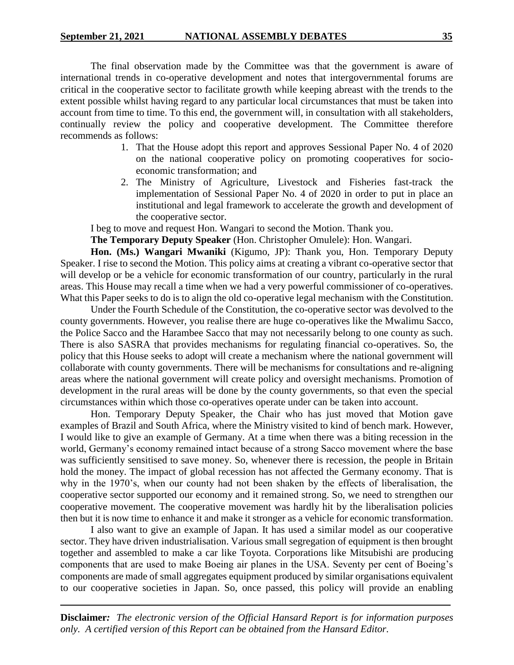The final observation made by the Committee was that the government is aware of international trends in co-operative development and notes that intergovernmental forums are critical in the cooperative sector to facilitate growth while keeping abreast with the trends to the extent possible whilst having regard to any particular local circumstances that must be taken into account from time to time. To this end, the government will, in consultation with all stakeholders, continually review the policy and cooperative development. The Committee therefore recommends as follows:

- 1. That the House adopt this report and approves Sessional Paper No. 4 of 2020 on the national cooperative policy on promoting cooperatives for socioeconomic transformation; and
- 2. The Ministry of Agriculture, Livestock and Fisheries fast-track the implementation of Sessional Paper No. 4 of 2020 in order to put in place an institutional and legal framework to accelerate the growth and development of the cooperative sector.

I beg to move and request Hon. Wangari to second the Motion. Thank you.

**The Temporary Deputy Speaker** (Hon. Christopher Omulele): Hon. Wangari.

**Hon. (Ms.) Wangari Mwaniki** (Kigumo, JP): Thank you, Hon. Temporary Deputy Speaker. I rise to second the Motion. This policy aims at creating a vibrant co-operative sector that will develop or be a vehicle for economic transformation of our country, particularly in the rural areas. This House may recall a time when we had a very powerful commissioner of co-operatives. What this Paper seeks to do is to align the old co-operative legal mechanism with the Constitution.

Under the Fourth Schedule of the Constitution, the co-operative sector was devolved to the county governments. However, you realise there are huge co-operatives like the Mwalimu Sacco, the Police Sacco and the Harambee Sacco that may not necessarily belong to one county as such. There is also SASRA that provides mechanisms for regulating financial co-operatives. So, the policy that this House seeks to adopt will create a mechanism where the national government will collaborate with county governments. There will be mechanisms for consultations and re-aligning areas where the national government will create policy and oversight mechanisms. Promotion of development in the rural areas will be done by the county governments, so that even the special circumstances within which those co-operatives operate under can be taken into account.

Hon. Temporary Deputy Speaker, the Chair who has just moved that Motion gave examples of Brazil and South Africa, where the Ministry visited to kind of bench mark. However, I would like to give an example of Germany. At a time when there was a biting recession in the world, Germany's economy remained intact because of a strong Sacco movement where the base was sufficiently sensitised to save money. So, whenever there is recession, the people in Britain hold the money. The impact of global recession has not affected the Germany economy. That is why in the 1970's, when our county had not been shaken by the effects of liberalisation, the cooperative sector supported our economy and it remained strong. So, we need to strengthen our cooperative movement. The cooperative movement was hardly hit by the liberalisation policies then but it is now time to enhance it and make it stronger as a vehicle for economic transformation.

I also want to give an example of Japan. It has used a similar model as our cooperative sector. They have driven industrialisation. Various small segregation of equipment is then brought together and assembled to make a car like Toyota. Corporations like Mitsubishi are producing components that are used to make Boeing air planes in the USA. Seventy per cent of Boeing's components are made of small aggregates equipment produced by similar organisations equivalent to our cooperative societies in Japan. So, once passed, this policy will provide an enabling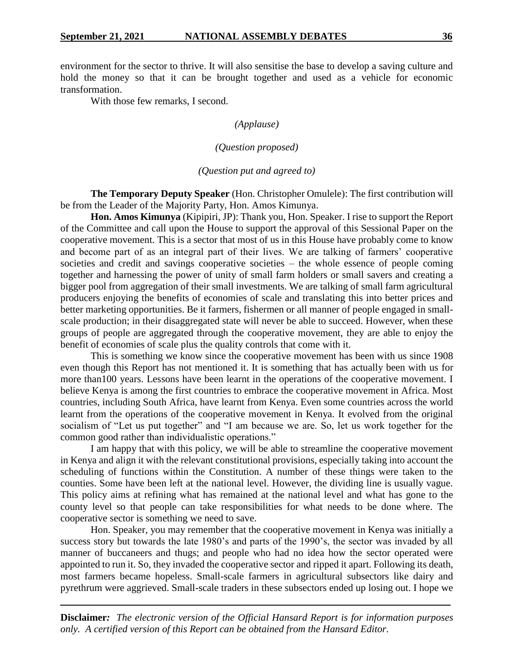environment for the sector to thrive. It will also sensitise the base to develop a saving culture and hold the money so that it can be brought together and used as a vehicle for economic transformation.

With those few remarks, I second.

# *(Applause)*

### *(Question proposed)*

#### *(Question put and agreed to)*

**The Temporary Deputy Speaker** (Hon. Christopher Omulele): The first contribution will be from the Leader of the Majority Party, Hon. Amos Kimunya.

**Hon. Amos Kimunya** (Kipipiri, JP): Thank you, Hon. Speaker. I rise to support the Report of the Committee and call upon the House to support the approval of this Sessional Paper on the cooperative movement. This is a sector that most of us in this House have probably come to know and become part of as an integral part of their lives. We are talking of farmers' cooperative societies and credit and savings cooperative societies – the whole essence of people coming together and harnessing the power of unity of small farm holders or small savers and creating a bigger pool from aggregation of their small investments. We are talking of small farm agricultural producers enjoying the benefits of economies of scale and translating this into better prices and better marketing opportunities. Be it farmers, fishermen or all manner of people engaged in smallscale production; in their disaggregated state will never be able to succeed. However, when these groups of people are aggregated through the cooperative movement, they are able to enjoy the benefit of economies of scale plus the quality controls that come with it.

This is something we know since the cooperative movement has been with us since 1908 even though this Report has not mentioned it. It is something that has actually been with us for more than100 years. Lessons have been learnt in the operations of the cooperative movement. I believe Kenya is among the first countries to embrace the cooperative movement in Africa. Most countries, including South Africa, have learnt from Kenya. Even some countries across the world learnt from the operations of the cooperative movement in Kenya. It evolved from the original socialism of "Let us put together" and "I am because we are. So, let us work together for the common good rather than individualistic operations."

I am happy that with this policy, we will be able to streamline the cooperative movement in Kenya and align it with the relevant constitutional provisions, especially taking into account the scheduling of functions within the Constitution. A number of these things were taken to the counties. Some have been left at the national level. However, the dividing line is usually vague. This policy aims at refining what has remained at the national level and what has gone to the county level so that people can take responsibilities for what needs to be done where. The cooperative sector is something we need to save.

Hon. Speaker, you may remember that the cooperative movement in Kenya was initially a success story but towards the late 1980's and parts of the 1990's, the sector was invaded by all manner of buccaneers and thugs; and people who had no idea how the sector operated were appointed to run it. So, they invaded the cooperative sector and ripped it apart. Following its death, most farmers became hopeless. Small-scale farmers in agricultural subsectors like dairy and pyrethrum were aggrieved. Small-scale traders in these subsectors ended up losing out. I hope we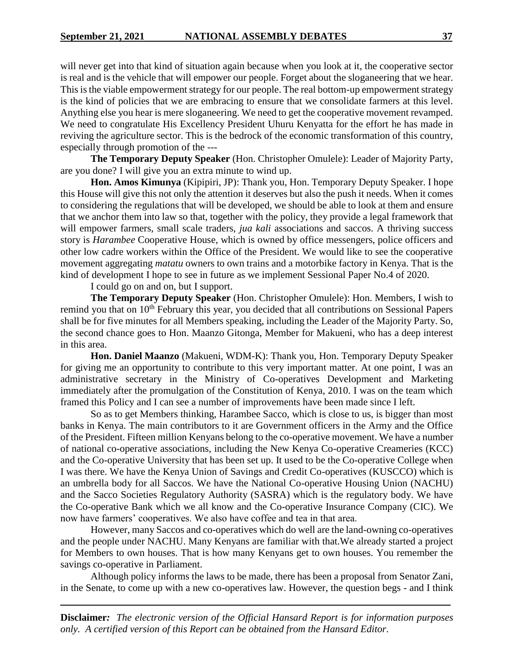will never get into that kind of situation again because when you look at it, the cooperative sector is real and is the vehicle that will empower our people. Forget about the sloganeering that we hear. This is the viable empowerment strategy for our people. The real bottom-up empowerment strategy is the kind of policies that we are embracing to ensure that we consolidate farmers at this level. Anything else you hear is mere sloganeering. We need to get the cooperative movement revamped. We need to congratulate His Excellency President Uhuru Kenyatta for the effort he has made in reviving the agriculture sector. This is the bedrock of the economic transformation of this country, especially through promotion of the ---

**The Temporary Deputy Speaker** (Hon. Christopher Omulele): Leader of Majority Party, are you done? I will give you an extra minute to wind up.

**Hon. Amos Kimunya** (Kipipiri, JP): Thank you, Hon. Temporary Deputy Speaker. I hope this House will give this not only the attention it deserves but also the push it needs. When it comes to considering the regulations that will be developed, we should be able to look at them and ensure that we anchor them into law so that, together with the policy, they provide a legal framework that will empower farmers, small scale traders, *jua kali* associations and saccos. A thriving success story is *Harambee* Cooperative House, which is owned by office messengers, police officers and other low cadre workers within the Office of the President. We would like to see the cooperative movement aggregating *matatu* owners to own trains and a motorbike factory in Kenya. That is the kind of development I hope to see in future as we implement Sessional Paper No.4 of 2020.

I could go on and on, but I support.

**The Temporary Deputy Speaker** (Hon. Christopher Omulele): Hon. Members, I wish to remind you that on 10<sup>th</sup> February this year, you decided that all contributions on Sessional Papers shall be for five minutes for all Members speaking, including the Leader of the Majority Party. So, the second chance goes to Hon. Maanzo Gitonga, Member for Makueni, who has a deep interest in this area.

**Hon. Daniel Maanzo** (Makueni, WDM-K): Thank you, Hon. Temporary Deputy Speaker for giving me an opportunity to contribute to this very important matter. At one point, I was an administrative secretary in the Ministry of Co-operatives Development and Marketing immediately after the promulgation of the Constitution of Kenya, 2010. I was on the team which framed this Policy and I can see a number of improvements have been made since I left.

So as to get Members thinking, Harambee Sacco, which is close to us, is bigger than most banks in Kenya. The main contributors to it are Government officers in the Army and the Office of the President. Fifteen million Kenyans belong to the co-operative movement. We have a number of national co-operative associations, including the New Kenya Co-operative Creameries (KCC) and the Co-operative University that has been set up. It used to be the Co-operative College when I was there. We have the Kenya Union of Savings and Credit Co-operatives (KUSCCO) which is an umbrella body for all Saccos. We have the National Co-operative Housing Union (NACHU) and the Sacco Societies Regulatory Authority (SASRA) which is the regulatory body. We have the Co-operative Bank which we all know and the Co-operative Insurance Company (CIC). We now have farmers' cooperatives. We also have coffee and tea in that area.

However, many Saccos and co-operatives which do well are the land-owning co-operatives and the people under NACHU. Many Kenyans are familiar with that.We already started a project for Members to own houses. That is how many Kenyans get to own houses. You remember the savings co-operative in Parliament.

Although policy informs the laws to be made, there has been a proposal from Senator Zani, in the Senate, to come up with a new co-operatives law. However, the question begs - and I think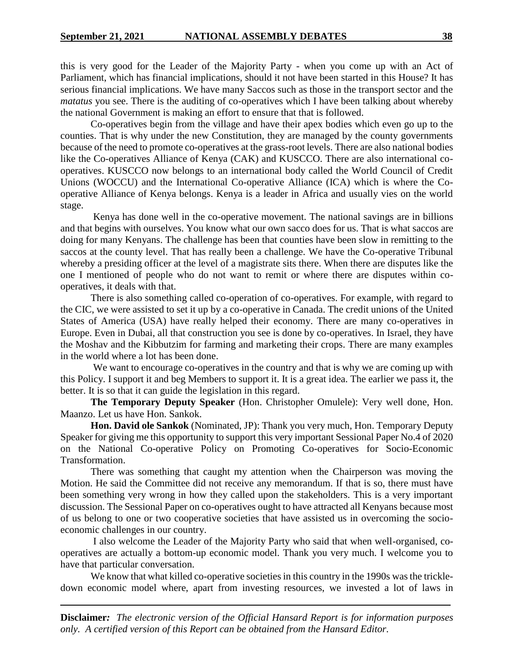this is very good for the Leader of the Majority Party - when you come up with an Act of Parliament, which has financial implications, should it not have been started in this House? It has serious financial implications. We have many Saccos such as those in the transport sector and the *matatus* you see. There is the auditing of co-operatives which I have been talking about whereby the national Government is making an effort to ensure that that is followed.

Co-operatives begin from the village and have their apex bodies which even go up to the counties. That is why under the new Constitution, they are managed by the county governments because of the need to promote co-operatives at the grass-root levels. There are also national bodies like the Co-operatives Alliance of Kenya (CAK) and KUSCCO. There are also international cooperatives. KUSCCO now belongs to an international body called the World Council of Credit Unions (WOCCU) and the International Co-operative Alliance (ICA) which is where the Cooperative Alliance of Kenya belongs. Kenya is a leader in Africa and usually vies on the world stage.

Kenya has done well in the co-operative movement. The national savings are in billions and that begins with ourselves. You know what our own sacco does for us. That is what saccos are doing for many Kenyans. The challenge has been that counties have been slow in remitting to the saccos at the county level. That has really been a challenge. We have the Co-operative Tribunal whereby a presiding officer at the level of a magistrate sits there. When there are disputes like the one I mentioned of people who do not want to remit or where there are disputes within cooperatives, it deals with that.

There is also something called co-operation of co-operatives. For example, with regard to the CIC, we were assisted to set it up by a co-operative in Canada. The credit unions of the United States of America (USA) have really helped their economy. There are many co-operatives in Europe. Even in Dubai, all that construction you see is done by co-operatives. In Israel, they have the Moshav and the Kibbutzim for farming and marketing their crops. There are many examples in the world where a lot has been done.

We want to encourage co-operatives in the country and that is why we are coming up with this Policy. I support it and beg Members to support it. It is a great idea. The earlier we pass it, the better. It is so that it can guide the legislation in this regard.

**The Temporary Deputy Speaker** (Hon. Christopher Omulele): Very well done, Hon. Maanzo. Let us have Hon. Sankok.

**Hon. David ole Sankok** (Nominated, JP): Thank you very much, Hon. Temporary Deputy Speaker for giving me this opportunity to support this very important Sessional Paper No.4 of 2020 on the National Co-operative Policy on Promoting Co-operatives for Socio-Economic Transformation.

There was something that caught my attention when the Chairperson was moving the Motion. He said the Committee did not receive any memorandum. If that is so, there must have been something very wrong in how they called upon the stakeholders. This is a very important discussion. The Sessional Paper on co-operatives ought to have attracted all Kenyans because most of us belong to one or two cooperative societies that have assisted us in overcoming the socioeconomic challenges in our country.

I also welcome the Leader of the Majority Party who said that when well-organised, cooperatives are actually a bottom-up economic model. Thank you very much. I welcome you to have that particular conversation.

We know that what killed co-operative societies in this country in the 1990s was the trickledown economic model where, apart from investing resources, we invested a lot of laws in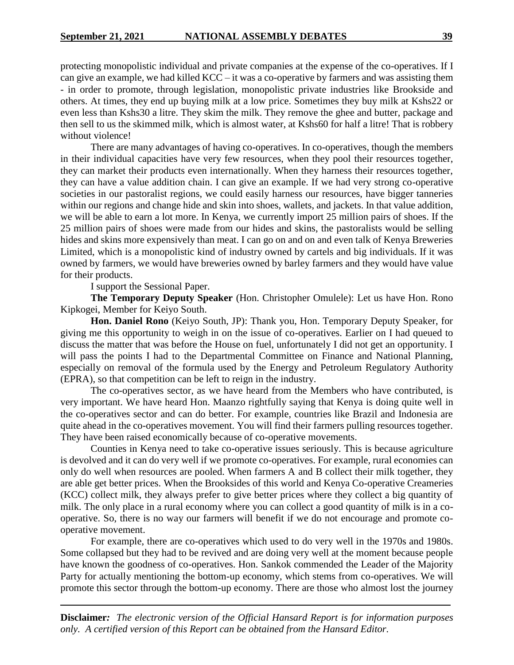protecting monopolistic individual and private companies at the expense of the co-operatives. If I can give an example, we had killed KCC – it was a co-operative by farmers and was assisting them - in order to promote, through legislation, monopolistic private industries like Brookside and others. At times, they end up buying milk at a low price. Sometimes they buy milk at Kshs22 or even less than Kshs30 a litre. They skim the milk. They remove the ghee and butter, package and then sell to us the skimmed milk, which is almost water, at Kshs60 for half a litre! That is robbery without violence!

There are many advantages of having co-operatives. In co-operatives, though the members in their individual capacities have very few resources, when they pool their resources together, they can market their products even internationally. When they harness their resources together, they can have a value addition chain. I can give an example. If we had very strong co-operative societies in our pastoralist regions, we could easily harness our resources, have bigger tanneries within our regions and change hide and skin into shoes, wallets, and jackets. In that value addition, we will be able to earn a lot more. In Kenya, we currently import 25 million pairs of shoes. If the 25 million pairs of shoes were made from our hides and skins, the pastoralists would be selling hides and skins more expensively than meat. I can go on and on and even talk of Kenya Breweries Limited, which is a monopolistic kind of industry owned by cartels and big individuals. If it was owned by farmers, we would have breweries owned by barley farmers and they would have value for their products.

I support the Sessional Paper.

**The Temporary Deputy Speaker** (Hon. Christopher Omulele): Let us have Hon. Rono Kipkogei, Member for Keiyo South.

**Hon. Daniel Rono** (Keiyo South, JP): Thank you, Hon. Temporary Deputy Speaker, for giving me this opportunity to weigh in on the issue of co-operatives. Earlier on I had queued to discuss the matter that was before the House on fuel, unfortunately I did not get an opportunity. I will pass the points I had to the Departmental Committee on Finance and National Planning, especially on removal of the formula used by the Energy and Petroleum Regulatory Authority (EPRA), so that competition can be left to reign in the industry.

The co-operatives sector, as we have heard from the Members who have contributed, is very important. We have heard Hon. Maanzo rightfully saying that Kenya is doing quite well in the co-operatives sector and can do better. For example, countries like Brazil and Indonesia are quite ahead in the co-operatives movement. You will find their farmers pulling resources together. They have been raised economically because of co-operative movements.

Counties in Kenya need to take co-operative issues seriously. This is because agriculture is devolved and it can do very well if we promote co-operatives. For example, rural economies can only do well when resources are pooled. When farmers A and B collect their milk together, they are able get better prices. When the Brooksides of this world and Kenya Co-operative Creameries (KCC) collect milk, they always prefer to give better prices where they collect a big quantity of milk. The only place in a rural economy where you can collect a good quantity of milk is in a cooperative. So, there is no way our farmers will benefit if we do not encourage and promote cooperative movement.

For example, there are co-operatives which used to do very well in the 1970s and 1980s. Some collapsed but they had to be revived and are doing very well at the moment because people have known the goodness of co-operatives. Hon. Sankok commended the Leader of the Majority Party for actually mentioning the bottom-up economy, which stems from co-operatives. We will promote this sector through the bottom-up economy. There are those who almost lost the journey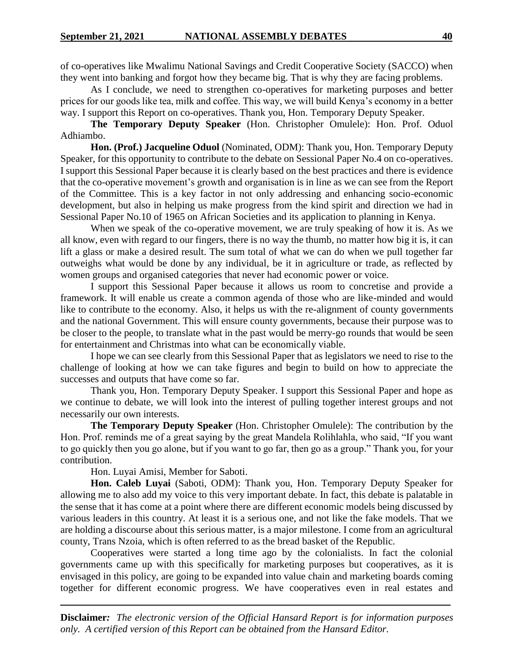of co-operatives like Mwalimu National Savings and Credit Cooperative Society (SACCO) when they went into banking and forgot how they became big. That is why they are facing problems.

As I conclude, we need to strengthen co-operatives for marketing purposes and better prices for our goods like tea, milk and coffee. This way, we will build Kenya's economy in a better way. I support this Report on co-operatives. Thank you, Hon. Temporary Deputy Speaker.

**The Temporary Deputy Speaker** (Hon. Christopher Omulele): Hon. Prof. Oduol Adhiambo.

**Hon. (Prof.) Jacqueline Oduol** (Nominated, ODM): Thank you, Hon. Temporary Deputy Speaker, for this opportunity to contribute to the debate on Sessional Paper No.4 on co-operatives. I support this Sessional Paper because it is clearly based on the best practices and there is evidence that the co-operative movement's growth and organisation is in line as we can see from the Report of the Committee. This is a key factor in not only addressing and enhancing socio-economic development, but also in helping us make progress from the kind spirit and direction we had in Sessional Paper No.10 of 1965 on African Societies and its application to planning in Kenya.

When we speak of the co-operative movement, we are truly speaking of how it is. As we all know, even with regard to our fingers, there is no way the thumb, no matter how big it is, it can lift a glass or make a desired result. The sum total of what we can do when we pull together far outweighs what would be done by any individual, be it in agriculture or trade, as reflected by women groups and organised categories that never had economic power or voice.

I support this Sessional Paper because it allows us room to concretise and provide a framework. It will enable us create a common agenda of those who are like-minded and would like to contribute to the economy. Also, it helps us with the re-alignment of county governments and the national Government. This will ensure county governments, because their purpose was to be closer to the people, to translate what in the past would be merry-go rounds that would be seen for entertainment and Christmas into what can be economically viable.

I hope we can see clearly from this Sessional Paper that as legislators we need to rise to the challenge of looking at how we can take figures and begin to build on how to appreciate the successes and outputs that have come so far.

Thank you, Hon. Temporary Deputy Speaker. I support this Sessional Paper and hope as we continue to debate, we will look into the interest of pulling together interest groups and not necessarily our own interests.

**The Temporary Deputy Speaker** (Hon. Christopher Omulele): The contribution by the Hon. Prof. reminds me of a great saying by the great Mandela Rolihlahla, who said, "If you want to go quickly then you go alone, but if you want to go far, then go as a group." Thank you, for your contribution.

Hon. Luyai Amisi, Member for Saboti.

**Hon. Caleb Luyai** (Saboti, ODM): Thank you, Hon. Temporary Deputy Speaker for allowing me to also add my voice to this very important debate. In fact, this debate is palatable in the sense that it has come at a point where there are different economic models being discussed by various leaders in this country. At least it is a serious one, and not like the fake models. That we are holding a discourse about this serious matter, is a major milestone. I come from an agricultural county, Trans Nzoia, which is often referred to as the bread basket of the Republic.

Cooperatives were started a long time ago by the colonialists. In fact the colonial governments came up with this specifically for marketing purposes but cooperatives, as it is envisaged in this policy, are going to be expanded into value chain and marketing boards coming together for different economic progress. We have cooperatives even in real estates and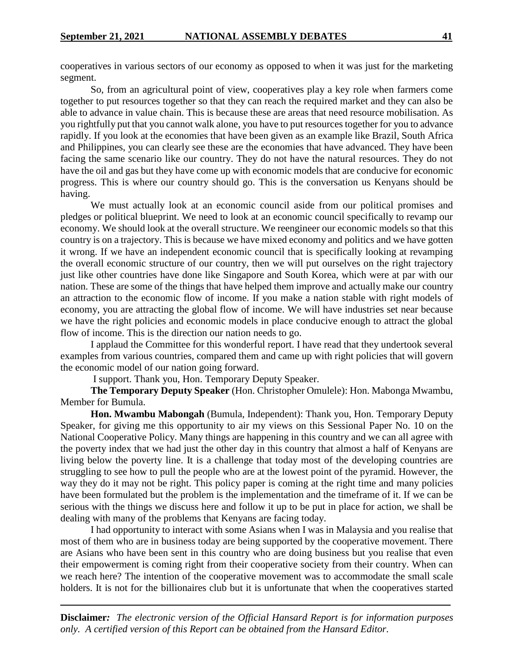cooperatives in various sectors of our economy as opposed to when it was just for the marketing segment.

So, from an agricultural point of view, cooperatives play a key role when farmers come together to put resources together so that they can reach the required market and they can also be able to advance in value chain. This is because these are areas that need resource mobilisation. As you rightfully put that you cannot walk alone, you have to put resources together for you to advance rapidly. If you look at the economies that have been given as an example like Brazil, South Africa and Philippines, you can clearly see these are the economies that have advanced. They have been facing the same scenario like our country. They do not have the natural resources. They do not have the oil and gas but they have come up with economic models that are conducive for economic progress. This is where our country should go. This is the conversation us Kenyans should be having.

We must actually look at an economic council aside from our political promises and pledges or political blueprint. We need to look at an economic council specifically to revamp our economy. We should look at the overall structure. We reengineer our economic models so that this country is on a trajectory. This is because we have mixed economy and politics and we have gotten it wrong. If we have an independent economic council that is specifically looking at revamping the overall economic structure of our country, then we will put ourselves on the right trajectory just like other countries have done like Singapore and South Korea, which were at par with our nation. These are some of the things that have helped them improve and actually make our country an attraction to the economic flow of income. If you make a nation stable with right models of economy, you are attracting the global flow of income. We will have industries set near because we have the right policies and economic models in place conducive enough to attract the global flow of income. This is the direction our nation needs to go.

I applaud the Committee for this wonderful report. I have read that they undertook several examples from various countries, compared them and came up with right policies that will govern the economic model of our nation going forward.

I support. Thank you, Hon. Temporary Deputy Speaker.

**The Temporary Deputy Speaker** (Hon. Christopher Omulele): Hon. Mabonga Mwambu, Member for Bumula.

**Hon. Mwambu Mabongah** (Bumula, Independent): Thank you, Hon. Temporary Deputy Speaker, for giving me this opportunity to air my views on this Sessional Paper No. 10 on the National Cooperative Policy. Many things are happening in this country and we can all agree with the poverty index that we had just the other day in this country that almost a half of Kenyans are living below the poverty line. It is a challenge that today most of the developing countries are struggling to see how to pull the people who are at the lowest point of the pyramid. However, the way they do it may not be right. This policy paper is coming at the right time and many policies have been formulated but the problem is the implementation and the timeframe of it. If we can be serious with the things we discuss here and follow it up to be put in place for action, we shall be dealing with many of the problems that Kenyans are facing today.

I had opportunity to interact with some Asians when I was in Malaysia and you realise that most of them who are in business today are being supported by the cooperative movement. There are Asians who have been sent in this country who are doing business but you realise that even their empowerment is coming right from their cooperative society from their country. When can we reach here? The intention of the cooperative movement was to accommodate the small scale holders. It is not for the billionaires club but it is unfortunate that when the cooperatives started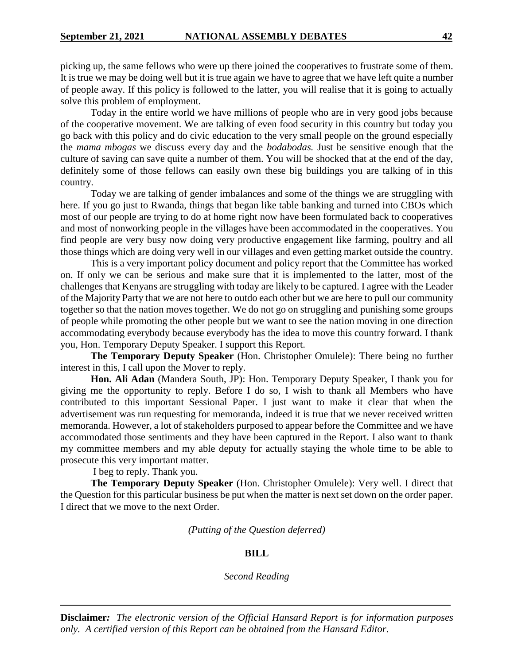picking up, the same fellows who were up there joined the cooperatives to frustrate some of them. It is true we may be doing well but it is true again we have to agree that we have left quite a number of people away. If this policy is followed to the latter, you will realise that it is going to actually solve this problem of employment.

Today in the entire world we have millions of people who are in very good jobs because of the cooperative movement. We are talking of even food security in this country but today you go back with this policy and do civic education to the very small people on the ground especially the *mama mbogas* we discuss every day and the *bodabodas.* Just be sensitive enough that the culture of saving can save quite a number of them. You will be shocked that at the end of the day, definitely some of those fellows can easily own these big buildings you are talking of in this country.

Today we are talking of gender imbalances and some of the things we are struggling with here. If you go just to Rwanda, things that began like table banking and turned into CBOs which most of our people are trying to do at home right now have been formulated back to cooperatives and most of nonworking people in the villages have been accommodated in the cooperatives. You find people are very busy now doing very productive engagement like farming, poultry and all those things which are doing very well in our villages and even getting market outside the country.

This is a very important policy document and policy report that the Committee has worked on. If only we can be serious and make sure that it is implemented to the latter, most of the challenges that Kenyans are struggling with today are likely to be captured. I agree with the Leader of the Majority Party that we are not here to outdo each other but we are here to pull our community together so that the nation moves together. We do not go on struggling and punishing some groups of people while promoting the other people but we want to see the nation moving in one direction accommodating everybody because everybody has the idea to move this country forward. I thank you, Hon. Temporary Deputy Speaker. I support this Report.

**The Temporary Deputy Speaker** (Hon. Christopher Omulele): There being no further interest in this, I call upon the Mover to reply.

**Hon. Ali Adan** (Mandera South, JP): Hon. Temporary Deputy Speaker, I thank you for giving me the opportunity to reply. Before I do so, I wish to thank all Members who have contributed to this important Sessional Paper. I just want to make it clear that when the advertisement was run requesting for memoranda, indeed it is true that we never received written memoranda. However, a lot of stakeholders purposed to appear before the Committee and we have accommodated those sentiments and they have been captured in the Report. I also want to thank my committee members and my able deputy for actually staying the whole time to be able to prosecute this very important matter.

I beg to reply. Thank you.

**The Temporary Deputy Speaker** (Hon. Christopher Omulele): Very well. I direct that the Question for this particular business be put when the matter is next set down on the order paper. I direct that we move to the next Order.

*(Putting of the Question deferred)*

#### **BILL**

*Second Reading*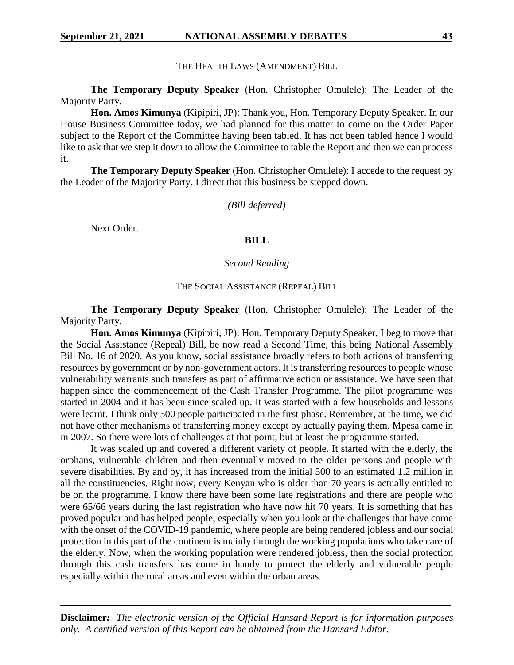THE HEALTH LAWS (AMENDMENT) BILL

**The Temporary Deputy Speaker** (Hon. Christopher Omulele): The Leader of the Majority Party.

**Hon. Amos Kimunya** (Kipipiri, JP): Thank you, Hon. Temporary Deputy Speaker. In our House Business Committee today, we had planned for this matter to come on the Order Paper subject to the Report of the Committee having been tabled. It has not been tabled hence I would like to ask that we step it down to allow the Committee to table the Report and then we can process it.

**The Temporary Deputy Speaker** (Hon. Christopher Omulele): I accede to the request by the Leader of the Majority Party. I direct that this business be stepped down.

*(Bill deferred)*

Next Order.

# **BILL**

#### *Second Reading*

### THE SOCIAL ASSISTANCE (REPEAL) BILL

**The Temporary Deputy Speaker** (Hon. Christopher Omulele): The Leader of the Majority Party.

**Hon. Amos Kimunya** (Kipipiri, JP): Hon. Temporary Deputy Speaker, I beg to move that the Social Assistance (Repeal) Bill, be now read a Second Time, this being National Assembly Bill No. 16 of 2020. As you know, social assistance broadly refers to both actions of transferring resources by government or by non-government actors. It is transferring resources to people whose vulnerability warrants such transfers as part of affirmative action or assistance. We have seen that happen since the commencement of the Cash Transfer Programme. The pilot programme was started in 2004 and it has been since scaled up. It was started with a few households and lessons were learnt. I think only 500 people participated in the first phase. Remember, at the time, we did not have other mechanisms of transferring money except by actually paying them. Mpesa came in in 2007. So there were lots of challenges at that point, but at least the programme started.

It was scaled up and covered a different variety of people. It started with the elderly, the orphans, vulnerable children and then eventually moved to the older persons and people with severe disabilities. By and by, it has increased from the initial 500 to an estimated 1.2 million in all the constituencies. Right now, every Kenyan who is older than 70 years is actually entitled to be on the programme. I know there have been some late registrations and there are people who were 65/66 years during the last registration who have now hit 70 years. It is something that has proved popular and has helped people, especially when you look at the challenges that have come with the onset of the COVID-19 pandemic, where people are being rendered jobless and our social protection in this part of the continent is mainly through the working populations who take care of the elderly. Now, when the working population were rendered jobless, then the social protection through this cash transfers has come in handy to protect the elderly and vulnerable people especially within the rural areas and even within the urban areas.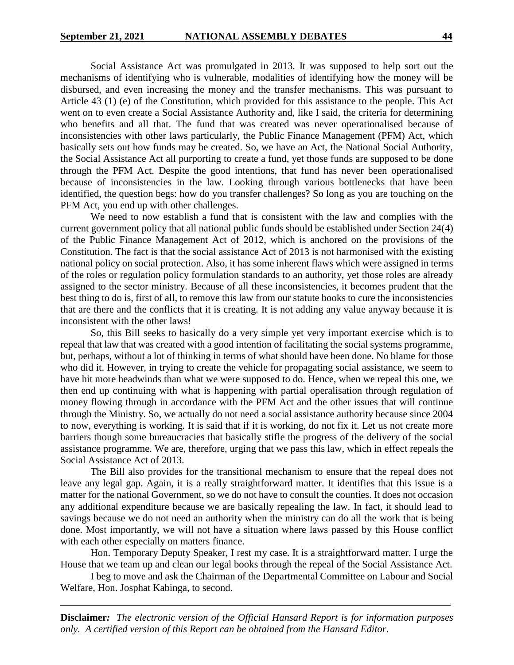Social Assistance Act was promulgated in 2013. It was supposed to help sort out the mechanisms of identifying who is vulnerable, modalities of identifying how the money will be disbursed, and even increasing the money and the transfer mechanisms. This was pursuant to Article 43 (1) (e) of the Constitution, which provided for this assistance to the people. This Act went on to even create a Social Assistance Authority and, like I said, the criteria for determining who benefits and all that. The fund that was created was never operationalised because of inconsistencies with other laws particularly, the Public Finance Management (PFM) Act, which basically sets out how funds may be created. So, we have an Act, the National Social Authority, the Social Assistance Act all purporting to create a fund, yet those funds are supposed to be done through the PFM Act. Despite the good intentions, that fund has never been operationalised because of inconsistencies in the law. Looking through various bottlenecks that have been identified, the question begs: how do you transfer challenges? So long as you are touching on the PFM Act, you end up with other challenges.

We need to now establish a fund that is consistent with the law and complies with the current government policy that all national public funds should be established under Section 24(4) of the Public Finance Management Act of 2012, which is anchored on the provisions of the Constitution. The fact is that the social assistance Act of 2013 is not harmonised with the existing national policy on social protection. Also, it has some inherent flaws which were assigned in terms of the roles or regulation policy formulation standards to an authority, yet those roles are already assigned to the sector ministry. Because of all these inconsistencies, it becomes prudent that the best thing to do is, first of all, to remove this law from our statute books to cure the inconsistencies that are there and the conflicts that it is creating. It is not adding any value anyway because it is inconsistent with the other laws!

So, this Bill seeks to basically do a very simple yet very important exercise which is to repeal that law that was created with a good intention of facilitating the social systems programme, but, perhaps, without a lot of thinking in terms of what should have been done. No blame for those who did it. However, in trying to create the vehicle for propagating social assistance, we seem to have hit more headwinds than what we were supposed to do. Hence, when we repeal this one, we then end up continuing with what is happening with partial operalisation through regulation of money flowing through in accordance with the PFM Act and the other issues that will continue through the Ministry. So, we actually do not need a social assistance authority because since 2004 to now, everything is working. It is said that if it is working, do not fix it. Let us not create more barriers though some bureaucracies that basically stifle the progress of the delivery of the social assistance programme. We are, therefore, urging that we pass this law, which in effect repeals the Social Assistance Act of 2013.

The Bill also provides for the transitional mechanism to ensure that the repeal does not leave any legal gap. Again, it is a really straightforward matter. It identifies that this issue is a matter for the national Government, so we do not have to consult the counties. It does not occasion any additional expenditure because we are basically repealing the law. In fact, it should lead to savings because we do not need an authority when the ministry can do all the work that is being done. Most importantly, we will not have a situation where laws passed by this House conflict with each other especially on matters finance.

Hon. Temporary Deputy Speaker, I rest my case. It is a straightforward matter. I urge the House that we team up and clean our legal books through the repeal of the Social Assistance Act.

I beg to move and ask the Chairman of the Departmental Committee on Labour and Social Welfare, Hon. Josphat Kabinga, to second.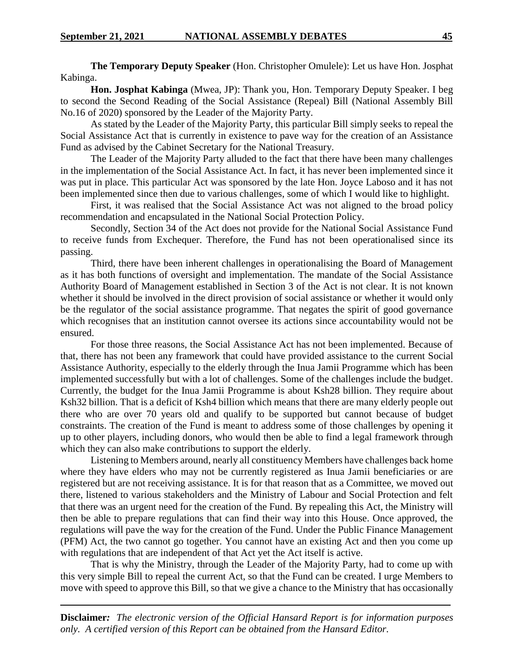**The Temporary Deputy Speaker** (Hon. Christopher Omulele): Let us have Hon. Josphat Kabinga.

**Hon. Josphat Kabinga** (Mwea, JP): Thank you, Hon. Temporary Deputy Speaker. I beg to second the Second Reading of the Social Assistance (Repeal) Bill (National Assembly Bill No.16 of 2020) sponsored by the Leader of the Majority Party.

As stated by the Leader of the Majority Party, this particular Bill simply seeks to repeal the Social Assistance Act that is currently in existence to pave way for the creation of an Assistance Fund as advised by the Cabinet Secretary for the National Treasury.

The Leader of the Majority Party alluded to the fact that there have been many challenges in the implementation of the Social Assistance Act. In fact, it has never been implemented since it was put in place. This particular Act was sponsored by the late Hon. Joyce Laboso and it has not been implemented since then due to various challenges, some of which I would like to highlight.

First, it was realised that the Social Assistance Act was not aligned to the broad policy recommendation and encapsulated in the National Social Protection Policy.

Secondly, Section 34 of the Act does not provide for the National Social Assistance Fund to receive funds from Exchequer. Therefore, the Fund has not been operationalised since its passing.

Third, there have been inherent challenges in operationalising the Board of Management as it has both functions of oversight and implementation. The mandate of the Social Assistance Authority Board of Management established in Section 3 of the Act is not clear. It is not known whether it should be involved in the direct provision of social assistance or whether it would only be the regulator of the social assistance programme. That negates the spirit of good governance which recognises that an institution cannot oversee its actions since accountability would not be ensured.

For those three reasons, the Social Assistance Act has not been implemented. Because of that, there has not been any framework that could have provided assistance to the current Social Assistance Authority, especially to the elderly through the Inua Jamii Programme which has been implemented successfully but with a lot of challenges. Some of the challenges include the budget. Currently, the budget for the Inua Jamii Programme is about Ksh28 billion. They require about Ksh32 billion. That is a deficit of Ksh4 billion which means that there are many elderly people out there who are over 70 years old and qualify to be supported but cannot because of budget constraints. The creation of the Fund is meant to address some of those challenges by opening it up to other players, including donors, who would then be able to find a legal framework through which they can also make contributions to support the elderly.

Listening to Members around, nearly all constituency Members have challenges back home where they have elders who may not be currently registered as Inua Jamii beneficiaries or are registered but are not receiving assistance. It is for that reason that as a Committee, we moved out there, listened to various stakeholders and the Ministry of Labour and Social Protection and felt that there was an urgent need for the creation of the Fund. By repealing this Act, the Ministry will then be able to prepare regulations that can find their way into this House. Once approved, the regulations will pave the way for the creation of the Fund. Under the Public Finance Management (PFM) Act, the two cannot go together. You cannot have an existing Act and then you come up with regulations that are independent of that Act yet the Act itself is active.

That is why the Ministry, through the Leader of the Majority Party, had to come up with this very simple Bill to repeal the current Act, so that the Fund can be created. I urge Members to move with speed to approve this Bill, so that we give a chance to the Ministry that has occasionally